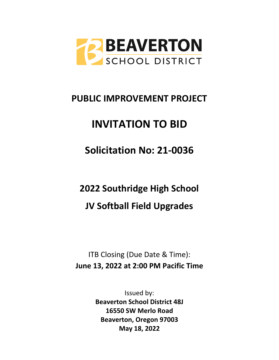

## **PUBLIC IMPROVEMENT PROJECT**

# **INVITATION TO BID**

**Solicitation No: 21-0036**

**2022 Southridge High School** 

**JV Softball Field Upgrades**

ITB Closing (Due Date & Time): **June 13, 2022 at 2:00 PM Pacific Time**

> Issued by: **Beaverton School District 48J 16550 SW Merlo Road Beaverton, Oregon 97003 May 18, 2022**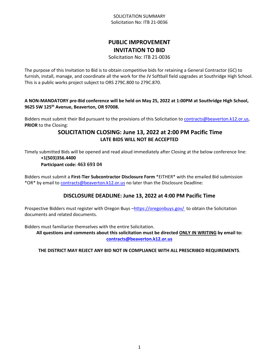#### SOLICITATION SUMMARY Solicitation No: ITB 21-0036

## **PUBLIC IMPROVEMENT INVITATION TO BID**

Solicitation No: ITB 21-0036

The purpose of this Invitation to Bid is to obtain competitive bids for retaining a General Contractor (GC) to furnish, install, manage, and coordinate all the work for the JV Softball field upgrades at Southridge High School. This is a public works project subject to ORS 279C.800 to 279C.870.

**A NON-MANDATORY pre-Bid conference will be held on May 25, 2022 at 1:00PM at Southridge High School, 9625 SW 125th Avenue, Beaverton, OR 97008.** 

Bidders must submit their Bid pursuant to the provisions of this Solicitation to [contracts@beaverton.k12.or.us,](mailto:contracts@beaverton.k12.or.us) **PRIOR** to the Closing:

## **SOLICITATION CLOSING: June 13, 2022 at 2:00 PM Pacific Time LATE BIDS WILL NOT BE ACCEPTED**

Timely submitted Bids will be opened and read aloud immediately after Closing at the below conference line: **+1(503)356.4400**

**Participant code: 463 693 04**

Bidders must submit a **First-Tier Subcontractor Disclosure Form** \*EITHER\* with the emailed Bid submission \*OR\* by email to [contracts@beaverton.k12.or.us](mailto:contracts@beaverton.k12.or.us) no later than the Disclosure Deadline:

## **DISCLOSURE DEADLINE: June 13, 2022 at 4:00 PM Pacific Time**

Prospective Bidders must register with Oregon Buys -<https://oregonbuys.gov/>to obtain the Solicitation documents and related documents.

Bidders must familiarize themselves with the entire Solicitation.

**All questions and comments about this solicitation must be directed ONLY IN WRITING by email to: [contracts@beaverton.k12.or.us](mailto:contracts@beaverton.k12.or.us)**

**THE DISTRICT MAY REJECT ANY BID NOT IN COMPLIANCE WITH ALL PRESCRIBED REQUIREMENTS**.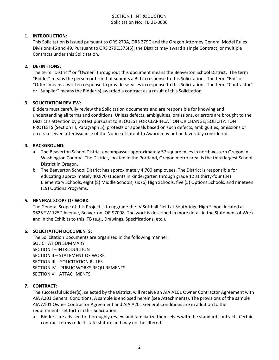#### SECTION I INTRODUCTION Solicitation No: ITB 21-0036

#### **1. INTRODUCTION:**

This Solicitation is issued pursuant to ORS 279A, ORS 279C and the Oregon Attorney General Model Rules Divisions 46 and 49. Pursuant to ORS 279C.375(5), the District may award a single Contract, or multiple Contracts under this Solicitation.

#### **2. DEFINITIONS:**

The term "District" or "Owner" throughout this document means the Beaverton School District. The term "Bidder" means the person or firm that submits a Bid in response to this Solicitation. The term "Bid" or "Offer" means a written response to provide services in response to this Solicitation. The term "Contractor" or "Supplier" means the Bidder(s) awarded a contract as a result of this Solicitation.

#### **3. SOLICITATION REVIEW:**

Bidders must carefully review the Solicitation documents and are responsible for knowing and understanding all terms and conditions. Unless defects, ambiguities, omissions, or errors are brought to the District's attention by protest pursuant to REQUEST FOR CLARIFICATION OR CHANGE; SOLICITATION PROTESTS (Section III, Paragraph 5), protests or appeals based on such defects, ambiguities, omissions or errors received after issuance of the Notice of Intent to Award may not be favorably considered.

#### **4. BACKGROUND:**

- a. The Beaverton School District encompasses approximately 57 square miles in northwestern Oregon in Washington County. The District, located in the Portland, Oregon metro area, is the third largest School District in Oregon.
- b. The Beaverton School District has approximately 4,700 employees. The District is responsible for educating approximately 40,870 students in kindergarten through grade 12 at thirty-four (34) Elementary Schools, eight (8) Middle Schools, six (6) High Schools, five (5) Options Schools, and nineteen (19) Options Programs.

#### **5. GENERAL SCOPE OF WORK:**

The General Scope of this Project is to upgrade the JV Softball Field at Southridge High School located at 9625 SW 125th Avenue, Beaverton, OR 97008. The work is described in more detail in the Statement of Work and in the Exhibits to this ITB (e.g., Drawings, Specifications, etc.).

#### **6. SOLICITATION DOCUMENTS:**

The Solicitation Documents are organized in the following manner: SOLICITATION SUMMARY SECTION I – INTRODUCTION SECTION II – STATEMENT OF WORK SECTION III – SOLICITATION RULES SECTION IV—PUBLIC WORKS REQUIREMENTS SECTION V – ATTACHMENTS

#### **7. CONTRACT:**

The successful Bidder(s), selected by the District, will receive an AIA A101 Owner Contractor Agreement with AIA A201 General Conditions. A sample is enclosed herein (see Attachments). The provisions of the sample AIA A101 Owner Contractor Agreement and AIA A201 General Conditions are in addition to the requirements set forth in this Solicitation.

a. Bidders are advised to thoroughly review and familiarize themselves with the standard contract. Certain contract terms reflect state statute and may not be altered.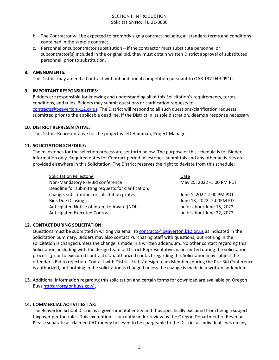#### SECTION I INTRODUCTION Solicitation No: ITB 21-0036

- b. The Contractor will be expected to promptly sign a contract including all standard terms and conditions contained in the sample contract.
- c. Personnel or subcontractor substitution if the contractor must substitute personnel or subcontractor(s) included in the original bid, they must obtain written District approval of substituted personnel, prior to substitution.

#### **8. AMENDMENTS:**

The District may amend a Contract without additional competition pursuant to OAR 137-049-0910.

#### **9. IMPORTANT RESPONSIBILITIES:**

Bidders are responsible for knowing and understanding all of this Solicitation's requirements, terms, conditions, and rules. Bidders may submit questions or clarification requests to [contracts@beaverton.k12.or.us.](mailto:contracts@beaverton.k12.or.us) The District will respond to all such questions/clarification requests submitted prior to the applicable deadline, if the District in its sole discretion, deems a response necessary.

#### **10. DISTRICT REPRESENTATIVE:**

The District Representative for the project is Jeff Hamman, Project Manager.

#### **11. SOLICITATION SCHEDULE:**

The milestones for the selection process are set forth below. The purpose of this schedule is for Bidder information only. Required dates for Contract period milestones, submittals and any other activities are provided elsewhere in this Solicitation. The District reserves the right to deviate from this schedule.

| <b>Solicitation Milestone</b>                       | Date                       |
|-----------------------------------------------------|----------------------------|
| Non-Mandatory Pre-Bid conference                    | May 25, 2022 -1:00 PM PDT  |
| Deadline for submitting requests for clarification, |                            |
| change, substitution, or solicitation protest       | June 1, 2022-2:00 PM PDT   |
| Bids Due (Closing):                                 | June 13, 2022 - 2:00PM PDT |
| Anticipated Notice of Intent to Award (NOI)         | on or about June 15, 2022  |
| <b>Anticipated Executed Contract</b>                | on or about June 22, 2022  |

## **12. CONTACT DURING SOLICITATION:**

Questions must be submitted in writing via email to [contracts@beaverton.k12.or.us](mailto:contracts@beaverton.k12.or.us) as indicated in the Solicitation Summary. Bidders may also contact Purchasing Staff with questions, but nothing in the solicitation is changed unless the change is made in a written addendum. No other contact regarding this Solicitation, including with the design team or District Representative, is permitted during the solicitation process (prior to executed contract). Unauthorized contact regarding this Solicitation may subject the offender's Bid to rejection. Contact with District Staff / design team Members during the Pre-Bid Conference is authorized, but nothing in the solicitation is changed unless the change is made in a written addendum.

**13.** Additional information regarding this solicitation and certain forms for download are available on Oregon Buys <https://oregonbuys.gov/> .

#### **14. COMMERCIAL ACTIVITIES TAX:**

The Beaverton School District is a governmental entity and thus specifically excluded from being a subject taxpayer per the rules. This exemption is currently under review by the Oregon Department of Revenue. Please separate all claimed CAT money believed to be chargeable to the District as individual lines on any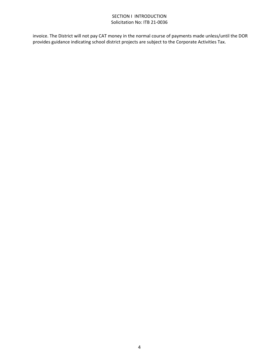#### SECTION I INTRODUCTION Solicitation No: ITB 21-0036

invoice. The District will not pay CAT money in the normal course of payments made unless/until the DOR provides guidance indicating school district projects are subject to the Corporate Activities Tax.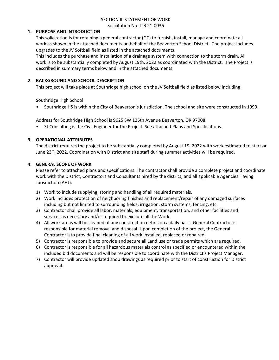#### SECTION II STATEMENT OF WORK Solicitation No: ITB 21-0036

#### **1. PURPOSE AND INTRODUCTION**

This solicitation is for retaining a general contractor (GC) to furnish, install, manage and coordinate all work as shown in the attached documents on behalf of the Beaverton School District. The project includes upgrades to the JV Softball field as listed in the attached documents.

This includes the purchase and installation of a drainage system with connection to the storm drain. All work is to be substantially completed by August 19th, 2022 as coordinated with the District. The Project is described in summary terms below and in the attached documents

#### **2. BACKGROUND AND SCHOOL DESCRIPTION**

This project will take place at Southridge high school on the JV Softball field as listed below including:

Southridge High School

• Southridge HS is within the City of Beaverton's jurisdiction. The school and site were constructed in 1999.

Address for Southridge High School is 9625 SW 125th Avenue Beaverton, OR 97008

• 3J Consulting is the Civil Engineer for the Project. See attached Plans and Specifications.

#### **3. OPERATIONAL ATTRIBUTES**

The district requires the project to be substantially completed by August 19, 2022 with work estimated to start on June 23rd, 2022. Coordination with District and site staff during summer activities will be required.

#### **4. GENERAL SCOPE OF WORK**

Please refer to attached plans and specifications. The contractor shall provide a complete project and coordinate work with the District, Contractors and Consultants hired by the district, and all applicable Agencies Having Jurisdiction (AHJ).

- 1) Work to include supplying, storing and handling of all required materials.
- 2) Work includes protection of neighboring finishes and replacement/repair of any damaged surfaces including but not limited to surrounding fields, irrigation, storm systems, fencing, etc.
- 3) Contractor shall provide all labor, materials, equipment, transportation, and other facilities and services as necessary and/or required to execute all the Work.
- 4) All work areas will be cleaned of any construction debris on a daily basis. General Contractor is responsible for material removal and disposal. Upon completion of the project, the General Contractor is to provide final cleaning of all work installed, replaced or repaired.
- 5) Contractor is responsible to provide and secure all Land use or trade permits which are required.
- 6) Contractor is responsible for all hazardous materials control as specified or encountered within the included bid documents and will be responsible to coordinate with the District's Project Manager.
- 7) Contractor will provide updated shop drawings as required prior to start of construction for District approval.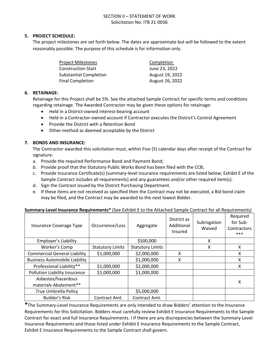#### SECTION II – STATEMENT OF WORK Solicitation No: ITB 21-0036

#### **5. PROJECT SCHEDULE:**

The project milestones are set forth below. The dates are approximate but will be followed to the extent reasonably possible. The purpose of this schedule is for information only.

| Project Milestones            | Completion      |
|-------------------------------|-----------------|
| Construction Start            | June 23, 2022   |
| <b>Substantial Completion</b> | August 19, 2022 |
| Final Completion              | August 26, 2022 |

#### **6. RETAINAGE:**

Retainage for this Project shall be 5%. See the attached Sample Contract for specific terms and conditions regarding retainage. The Awarded Contractor may be given these options for retainage:

- Held in a District-owned interest-bearing account
- Held in a Contractor-owned account if Contractor executes the District's Control Agreement
- Provide the District with a Retention Bond
- Other method as deemed acceptable by the District

#### **7. BONDS AND INSURANCE:**

The Contractor awarded this solicitation must, within Five (5) calendar days after receipt of the Contract for signature:

- a. Provide the required Performance Bond and Payment Bond;
- b. Provide proof that the Statutory Public Works Bond has been filed with the CCB;
- c. Provide Insurance Certificate(s) (summary-level insurance requirements are listed below; Exhibit E of the Sample Contract includes all requirements) and any guarantees and/or other required item(s).
- d. Sign the Contract issued by the District Purchasing Department.
- e. If these items are not received as specified then the Contract may not be executed, a Bid bond claim may be filed, and the Contract may be awarded to the next lowest Bidder.

| Insurance Coverage Type              | Occurrence/Loss         | Aggregate               | District as<br>Additional<br>Insured | Subrogation<br>Waived | Required<br>for Sub-<br>Contractors<br>$***$ |
|--------------------------------------|-------------------------|-------------------------|--------------------------------------|-----------------------|----------------------------------------------|
| Employer's Liability                 |                         | \$500,000               |                                      | X                     |                                              |
| Worker's Comp                        | <b>Statutory Limits</b> | <b>Statutory Limits</b> |                                      | x                     | x                                            |
| <b>Commercial General Liability</b>  | \$1,000,000             | \$2,000,000             | X                                    |                       | X                                            |
| <b>Business Automobile Liability</b> |                         | \$1,000,000             | X                                    |                       | X                                            |
| Professional Liability**             | \$1,000,000             | \$2,000,000             |                                      |                       | X                                            |
| Pollution Liability Insurance        | \$1,000,000             | \$1,000,000             |                                      |                       |                                              |
| Asbestos/hazardous                   |                         |                         |                                      |                       | х                                            |
| materials Abatement**                |                         |                         |                                      |                       |                                              |
| <b>True Umbrella Policy</b>          |                         | \$5,000,000             |                                      |                       |                                              |
| <b>Builder's Risk</b>                | Contract Amt.           | Contract Amt.           |                                      |                       |                                              |

#### **Summary-Level Insurance Requirements\*** (See Exhibit E to the Attached Sample Contract for all Requirements)

**\***The Summary-Level Insurance Requirements are only intended to draw Bidders' attention to the Insurance Requirements for this Solicitation. Bidders must carefully review Exhibit E Insurance Requirements to the Sample Contract for exact and full Insurance Requirements. I If there are any discrepancies between the Summary-Level Insurance Requirements and those listed under Exhibit E Insurance Requirements to the Sample Contract, Exhibit E Insurance Requirements to the Sample Contract shall govern.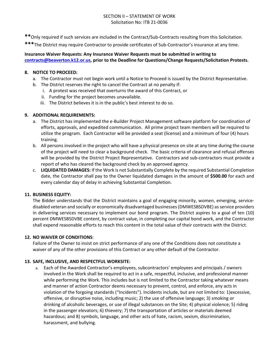#### SECTION II – STATEMENT OF WORK Solicitation No: ITB 21-0036

- **\*\***Only required if such services are included in the Contract/Sub-Contracts resulting from this Solicitation.
- **\*\*\***The District may require Contractor to provide certificates of Sub-Contractor's insurance at any time.

#### **Insurance Waiver Requests: Any Insurance Waiver Requests must be submitted in writing to [contracts@beaverton.k12.or.us,](mailto:contracts@beaverton.k12.or.us) prior to the Deadline for Questions/Change Requests/Solicitation Protests.**

#### **8. NOTICE TO PROCEED:**

- a. The Contractor must not begin work until a Notice to Proceed is issued by the District Representative.
- b. The District reserves the right to cancel the Contract at no penalty if:
	- i. A protest was received that overturns the award of this Contract, or
	- ii. Funding for the project becomes unavailable.
	- iii. The District believes it is in the public's best interest to do so.

#### **9. ADDITIONAL REQUIREMENTS:**

- a. The District has implemented the e-Builder Project Management software platform for coordination of efforts, approvals, and expedited communication. All prime project team members will be required to utilize the program. Each Contractor will be provided a seat (license) and a minimum of four (4) hours training.
- b. All persons involved in the project who will have a physical presence on site at any time during the course of the project will need to clear a background check. The basic criteria of clearance and refusal offenses will be provided by the District Project Representative. Contractors and sub-contractors must provide a report of who has cleared the background check by an approved agency.
- c. **LIQUIDATED DAMAGES:** If the Work is not Substantially Complete by the required Substantial Completion date, the Contractor shall pay to the Owner liquidated damages in the amount of **\$500.00** for each and every calendar day of delay in achieving Substantial Completion.

#### **11. BUSINESS EQUITY:**

The Bidder understands that the District maintains a goal of engaging minority, women, emerging, servicedisabled veteran and socially or economically disadvantaged businesses (DMWESBSDVBE) as service providers in delivering services necessary to implement our bond program. The District aspires to a goal of ten (10) percent DMWESBSDVBE content, by contract value, in completing our capital bond work, and the Contractor shall expend reasonable efforts to reach this content in the total value of their contracts with the District.

#### **12. NO WAIVER OF CONDITIONS**:

Failure of the Owner to insist on strict performance of any one of the Conditions does not constitute a waiver of any of the other provisions of this Contract or any other default of the Contractor.

#### **13. SAFE, INCLUSIVE, AND RESPECTFUL WORKSITE:**

a. Each of the Awarded Contractor's employees, subcontractors' employees and principals / owners involved in the Work shall be required to act in a safe, respectful, inclusive, and professional manner while performing the Work. This includes but is not limited to the Contractor taking whatever means and manner of action Contractor deems necessary to prevent, control, and enforce, any acts in violation of the forgoing standards ("Incidents"). Incidents include, but are not limited to: 1)excessive, offensive, or disruptive noise, including music; 2) the use of offensive language; 3) smoking or drinking of alcoholic beverages, or use of illegal substances on the Site; 4) physical violence; 5) riding in the passenger elevators; 6) thievery; 7) the transportation of articles or materials deemed hazardous; and 8) symbols, language, and other acts of hate, racism, sexism, discrimination, harassment, and bullying.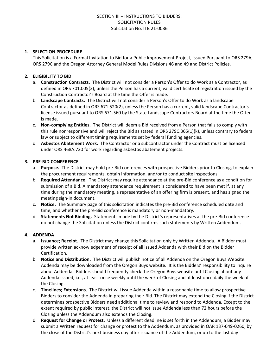#### **1. SELECTION PROCEDURE**

This Solicitation is a Formal Invitation to Bid for a Public Improvement Project, issued Pursuant to ORS 279A, ORS 279C and the Oregon Attorney General Model Rules Divisions 46 and 49 and District Policies.

#### **2. ELIGIBILITY TO BID**

- a. **Construction Contracts.** The District will not consider a Person's Offer to do Work as a Contractor, as defined in ORS 701.005(2), unless the Person has a current, valid certificate of registration issued by the Construction Contractor's Board at the time the Offer is made.
- b. **Landscape Contracts.** The District will not consider a Person's Offer to do Work as a landscape Contractor as defined in ORS 671.520(2), unless the Person has a current, valid landscape Contractor's license issued pursuant to ORS 671.560 by the State Landscape Contractors Board at the time the Offer is made.
- c. **Non-complying Entities.** The District will deem a Bid received from a Person that fails to comply with this rule nonresponsive and will reject the Bid as stated in ORS 279C.365(1)(k), unless contrary to federal law or subject to different timing requirements set by federal funding agencies.
- d. **Asbestos Abatement Work.** The Contractor or a subcontractor under the Contract must be licensed under ORS 468A.720 for work regarding asbestos abatement projects.

#### **3. PRE-BID CONFERENCE**

- a. **Purpose.** The District may hold pre-Bid conferences with prospective Bidders prior to Closing, to explain the procurement requirements, obtain information, and/or to conduct site inspections.
- b. **Required Attendance.** The District may require attendance at the pre-Bid conference as a condition for submission of a Bid. A mandatory attendance requirement is considered to have been met if, at any time during the mandatory meeting, a representative of an offering firm is present, and has signed the meeting sign-in document.
- c. **Notice.** The Summary page of this solicitation indicates the pre-Bid conference scheduled date and time, and whether the pre-Bid conference is mandatory or non-mandatory.
- d. **Statements Not Binding.** Statements made by the District's representatives at the pre-Bid conference do not change the Solicitation unless the District confirms such statements by Written Addendum.

#### **4. ADDENDA**

- a. **Issuance; Receipt.** The District may change this Solicitation only by Written Addenda. A Bidder must provide written acknowledgement of receipt of all issued Addenda with their Bid on the Bidder Certification.
- b. **Notice and Distribution.** The District will publish notice of all Addenda on the Oregon Buys Website. Addenda may be downloaded from the Oregon Buys website. It is the Bidders' responsibility to inquire about Addenda. Bidders should frequently check the Oregon Buys website until Closing about any Addenda issued, i.e., at least once weekly until the week of Closing and at least once daily the week of the Closing.
- c. **Timelines; Extensions.** The District will issue Addenda within a reasonable time to allow prospective Bidders to consider the Addenda in preparing their Bid. The District may extend the Closing if the District determines prospective Bidders need additional time to review and respond to Addenda. Except to the extent required by public interest, the District will not issue Addenda less than 72 hours before the Closing unless the Addendum also extends the Closing.
- d. **Request for Change or Protest.** Unless a different deadline is set forth in the Addendum, a Bidder may submit a Written request for change or protest to the Addendum, as provided in OAR 137-049-0260, by the close of the District's next business day after issuance of the Addendum, or up to the last day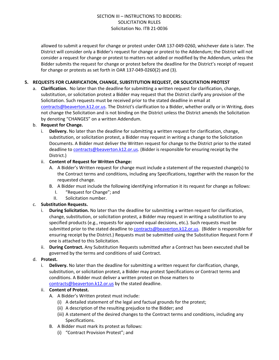allowed to submit a request for change or protest under OAR 137-049-0260, whichever date is later. The District will consider only a Bidder's request for change or protest to the Addendum; the District will not consider a request for change or protest to matters not added or modified by the Addendum, unless the Bidder submits the request for change or protest before the deadline for the District's receipt of request for change or protests as set forth in OAR 137-049-0260(2) and (3).

#### **5. REQUESTS FOR CLARIFICATION, CHANGE, SUBSTITUTION REQUEST, OR SOLICITATION PROTEST**

a. **Clarification.** No later than the deadline for submitting a written request for clarification, change, substitution, or solicitation protest a Bidder may request that the District clarify any provision of the Solicitation. Such requests must be received prior to the stated deadline in email at [contracts@beaverton.k12.or.us.](mailto:contracts@beaverton.k12.or.us) The District's clarification to a Bidder, whether orally or in Writing, does not change the Solicitation and is not binding on the District unless the District amends the Solicitation by denoting "CHANGES" on a written Addendum.

#### b. **Request for Change.**

i. **Delivery.** No later than the deadline for submitting a written request for clarification, change, substitution, or solicitation protest, a Bidder may request in writing a change to the Solicitation Documents. A Bidder must deliver the Written request for change to the District prior to the stated deadline to [contracts@beaverton.k12.or.us.](mailto:contracts@beaverton.k12.or.us) (Bidder is responsible for ensuring receipt by the District.)

#### ii. **Content of Request for Written Change:**

- A. A Bidder's Written request for change must include a statement of the requested change(s) to the Contract terms and conditions, including any Specifications, together with the reason for the requested change.
- B. A Bidder must include the following identifying information it its request for change as follows:
	- I. "Request for Change"; and
	- II. Solicitation number.

#### c. **Substitution Requests.**

- i. **During Solicitation.** No later than the deadline for submitting a written request for clarification, change, substitution, or solicitation protest, a Bidder may request in writing a substitution to any specified products (e.g., requests for approved equal decisions, etc.). Such requests must be submitted prior to the stated deadline to [contracts@beaverton.k12.or.us](mailto:contracts@beaverton.k12.or.us). (Bidder is responsible for ensuring receipt by the District.) Requests must be submitted using the Substitution Request Form if one is attached to this Solicitation.
- ii. **During Contract.** Any Substitution Requests submitted after a Contract has been executed shall be governed by the terms and conditions of said Contract.

#### d. **Protest.**

i. **Delivery.** No later than the deadline for submitting a written request for clarification, change, substitution, or solicitation protest, a Bidder may protest Specifications or Contract terms and conditions. A Bidder must deliver a written protest on those matters to [contracts@beaverton.k12.or.us](mailto:contracts@beaverton.k12.or.us) by the stated deadline.

#### ii. **Content of Protest.**

- A. A Bidder's Written protest must include:
	- (i) A detailed statement of the legal and factual grounds for the protest;
	- (ii) A description of the resulting prejudice to the Bidder; and
	- (iii) A statement of the desired changes to the Contract terms and conditions, including any Specifications.
- B. A Bidder must mark its protest as follows:
	- (i) "Contract Provision Protest"; and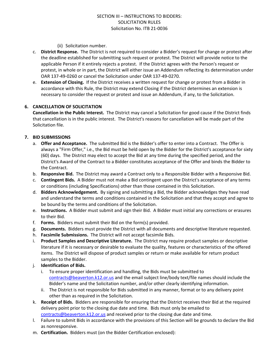#### (ii) Solicitation number.

- c. **District Response.** The District is not required to consider a Bidder's request for change or protest after the deadline established for submitting such request or protest. The District will provide notice to the applicable Person if it entirely rejects a protest. If the District agrees with the Person's request or protest, in whole or in part, the District will either issue an Addendum reflecting its determination under OAR 137-49-0260 or cancel the Solicitation under OAR 137-49-0270.
- e. **Extension of Closing.** If the District receives a written request for change or protest from a Bidder in accordance with this Rule, the District may extend Closing if the District determines an extension is necessary to consider the request or protest and issue an Addendum, if any, to the Solicitation.

#### **6. CANCELLATION OF SOLICITATION**

**Cancellation in the Public Interest.** The District may cancel a Solicitation for good cause if the District finds that cancellation is in the public interest. The District's reasons for cancellation will be made part of the Solicitation file.

#### **7. BID SUBMISSIONS**

- a. **Offer and Acceptance.** The submitted Bid is the Bidder's offer to enter into a Contract. The Offer is always a "Firm Offer," i.e., the Bid must be held open by the Bidder for the District's acceptance for sixty (60) days. The District may elect to accept the Bid at any time during the specified period, and the District's Award of the Contract to a Bidder constitutes acceptance of the Offer and binds the Bidder to the Contract.
- b. **Responsive Bid.** The District may award a Contract only to a Responsible Bidder with a Responsive Bid.
- c. **Contingent Bids.** A Bidder must not make a Bid contingent upon the District's acceptance of any terms or conditions (including Specifications) other than those contained in this Solicitation.
- d. **Bidders Acknowledgement.** By signing and submitting a Bid, the Bidder acknowledges they have read and understand the terms and conditions contained in the Solicitation and that they accept and agree to be bound by the terms and conditions of the Solicitation.
- e. **Instructions.** A Bidder must submit and sign their Bid. A Bidder must initial any corrections or erasures to their Bid.
- f. **Forms.** Bidders must submit their Bid on the form(s) provided.
- g. **Documents.** Bidders must provide the District with all documents and descriptive literature requested.
- h. **Facsimile Submissions.** The District will not accept facsimile Bids.
- i. **Product Samples and Descriptive Literature.** The District may require product samples or descriptive literature if it is necessary or desirable to evaluate the quality, features or characteristics of the offered items. The District will dispose of product samples or return or make available for return product samples to the Bidder.
- j. **Identification of Bids.**
	- i. To ensure proper identification and handling, the Bids must be submitted to [contracts@beaverton.k12.or.us](mailto:contracts@beaverton.k12.or.us) and the email subject line/body text/file names should include the Bidder's name and the Solicitation number, and/or other clearly identifying information.
	- ii. The District is not responsible for Bids submitted in any manner, format or to any delivery point other than as required in the Solicitation.
- k. **Receipt of Bids.** Bidders are responsible for ensuring that the District receives their Bid at the required delivery point prior to the closing due date and time. Bids must only be emailed to [contracts@beaverton.k12.or.us](mailto:contracts@beaverton.k12.or.us) and received prior to the closing due date and time.
- l. Failure to submit Bids in accordance with the provisions of this Section will be grounds to declare the Bid as nonresponsive.
- m. **Certification.** Bidders must (on the Bidder Certification enclosed):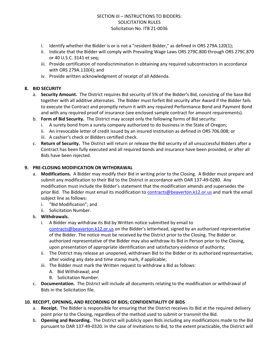- i. Identify whether the Bidder is or is not a "resident Bidder," as defined in ORS 279A.120(1);
- ii. Indicate that the Bidder will comply with Prevailing Wage Laws ORS 279C.800 through ORS 279C.870 or 40 U.S.C. 3141 et seq;
- iii. Provide certification of nondiscrimination in obtaining any required subcontractors in accordance with ORS 279A.110(4); and
- iv. Provide written acknowledgment of receipt of all Addenda.

#### **8. BID SECURITY**

- a. **Security Amount.** The District requires Bid security of 5% of the Bidder's Bid, consisting of the base Bid together with all additive alternates. The Bidder must forfeit Bid security after Award if the Bidder fails to execute the Contract and promptly return it with any required Performance Bond and Payment Bond and with any required proof of insurance (see enclosed sample contract for amount requirements).
- b. **Form of Bid Security.** The District may accept only the following forms of Bid security:
	- i. A surety bond from a surety company authorized to do business in the State of Oregon;
	- ii. An irrevocable letter of credit issued by an insured institution as defined in ORS 706.008; or
	- iii. A cashier's check or Bidders certified check.
- c. **Return of Security.** The District will return or release the Bid security of all unsuccessful Bidders after a Contract has been fully executed and all required bonds and insurance have been provided, or after all Bids have been rejected.

#### **9. PRE-CLOSING MODIFICATION OR WITHDRAWAL**

- a. **Modifications.** A Bidder may modify their Bid in writing prior to the Closing. A Bidder must prepare and submit any modification to their Bid to the District in accordance with OAR 137-49-0280. Any modification must include the Bidder's statement that the modification amends and supersedes the prior Bid. The Bidder must email its modification to [contracts@beaverton.k12.or.us](mailto:contracts@beaverton.k12.or.us) and mark the email subject line as follows:
	- i. "Bid Modification"; and
	- ii. Solicitation Number.

#### b. **Withdrawals.**

- i. A Bidder may withdraw its Bid by Written notice submitted by email to [contracts@beaverton.k12.or.us](mailto:contracts@beaverton.k12.or.us) on the Bidder's letterhead, signed by an authorized representative of the Bidder. The notice must be received by the District prior to the Closing. The Bidder or authorized representative of the Bidder may also withdraw its Bid in Person prior to the Closing, upon presentation of appropriate identification and satisfactory evidence of authority;
- ii. The District may release an unopened, withdrawn Bid to the Bidder or its authorized representative, after voiding any date and time stamp mark, if applicable;
- iii. The Bidder must mark the Written request to withdraw a Bid as follows:
	- A. Bid Withdrawal; and
	- B. Solicitation Number.
- c. **Documentation.** The District will include all documents relating to the modification or withdrawal of Bids in the Solicitation file.

#### **10. RECEIPT, OPENING, AND RECORDING OF BIDS; CONFIDENTIALITY OF BIDS**

- a. **Receipt.** The Bidder is responsible for ensuring that the District receives its Bid at the required delivery point prior to the Closing, regardless of the method used to submit or transmit the Bid.
- b. **Opening and Recording.** The District will publicly open Bids including any modifications made to the Bid pursuant to OAR 137-49-0320. In the case of Invitations to Bid, to the extent practicable, the District will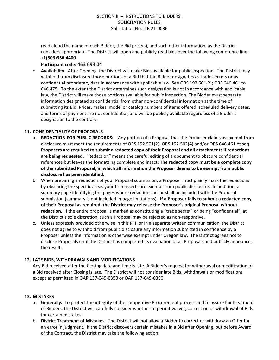read aloud the name of each Bidder, the Bid price(s), and such other information, as the District considers appropriate. The District will open and publicly read bids over the following conference line: **+1(503)356.4400**

#### **Participant code: 463 693 04**

c. **Availability.** After Opening, the District will make Bids available for public inspection. The District may withhold from disclosure those portions of a Bid that the Bidder designates as trade secrets or as confidential proprietary data in accordance with applicable law. See ORS 192.501(2); ORS 646.461 to 646.475. To the extent the District determines such designation is not in accordance with applicable law, the District will make those portions available for public inspection. The Bidder must separate information designated as confidential from other non-confidential information at the time of submitting its Bid. Prices, makes, model or catalog numbers of items offered, scheduled delivery dates, and terms of payment are not confidential, and will be publicly available regardless of a Bidder's designation to the contrary.

#### **11. CONFIDENTIALITY OF PROPOSALS**

- a. **REDACTION FOR PUBLIC RECORDS:** Any portion of a Proposal that the Proposer claims as exempt from disclosure must meet the requirements of ORS 192.501(2), ORS 192.502(4) and/or ORS 646.461 et seq. **Proposers are required to submit a redacted copy of their Proposal and all attachments if redactions are being requested.** "Redaction" means the careful editing of a document to obscure confidential references but leaves the formatting complete and intact; **The redacted copy must be a complete copy of the submitted Proposal, in which all information the Proposer deems to be exempt from public disclosure has been identified.**
- b. When preparing a redaction of your Proposal submission, a Proposer must plainly mark the redactions by obscuring the specific areas your firm asserts are exempt from public disclosure. In addition, a summary page identifying the pages where redactions occur shall be included with the Proposal submission (summary is not included in page limitations). **If a Proposer fails to submit a redacted copy of their Proposal as required, the District may release the Proposer's original Proposal without redaction.** If the entire proposal is marked as constituting a "trade secret" or being "confidential", at the District's sole discretion, such a Proposal may be rejected as non-responsive.
- c. Unless expressly provided otherwise in this RFP or in a separate written communication, the District does not agree to withhold from public disclosure any information submitted in confidence by a Proposer unless the information is otherwise exempt under Oregon law. The District agrees not to disclose Proposals until the District has completed its evaluation of all Proposals and publicly announces the results.

#### **12. LATE BIDS, WITHDRAWALS AND MODIFICATIONS**

Any Bid received after the Closing date and time is late. A Bidder's request for withdrawal or modification of a Bid received after Closing is late. The District will not consider late Bids, withdrawals or modifications except as permitted in OAR 137-049-0350 or OAR 137-049-0390.

#### **13. MISTAKES**

- a. **Generally.** To protect the integrity of the competitive Procurement process and to assure fair treatment of Bidders, the District will carefully consider whether to permit waiver, correction or withdrawal of Bids for certain mistakes.
- b. **District Treatment of Mistakes.** The District will not allow a Bidder to correct or withdraw an Offer for an error in judgment. If the District discovers certain mistakes in a Bid after Opening, but before Award of the Contract, the District may take the following action: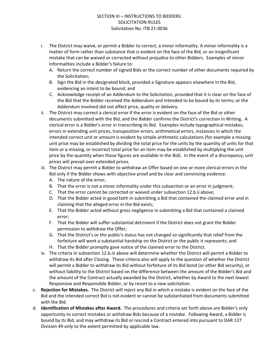- i. The District may waive, or permit a Bidder to correct, a minor informality. A minor informality is a matter of form rather than substance that is evident on the face of the Bid, or an insignificant mistake that can be waived or corrected without prejudice to other Bidders. Examples of minor informalities include a Bidder's failure to:
	- A. Return the correct number of signed Bids or the correct number of other documents required by the Solicitation;
	- B. Sign the Bid in the designated block, provided a Signature appears elsewhere in the Bid, evidencing an intent to be bound; and
	- C. Acknowledge receipt of an Addendum to the Solicitation, provided that it is clear on the face of the Bid that the Bidder received the Addendum and intended to be bound by its terms; or the Addendum involved did not affect price, quality or delivery.
- ii. The District may correct a clerical error if the error is evident on the face of the Bid or other documents submitted with the Bid, and the Bidder confirms the District's correction in Writing. A clerical error is a Bidder's error in transcribing its Bid. Examples include typographical mistakes, errors in extending unit prices, transposition errors, arithmetical errors, instances in which the intended correct unit or amount is evident by simple arithmetic calculations (for example a missing unit price may be established by dividing the total price for the units by the quantity of units for that item or a missing, or incorrect total price for an item may be established by multiplying the unit price by the quantity when those figures are available in the Bid). In the event of a discrepancy, unit prices will prevail over extended prices.
- iii. The District may permit a Bidder to withdraw an Offer based on one or more clerical errors in the Bid only if the Bidder shows with objective proof and by clear and convincing evidence:
	- A. The nature of the error;
	- B. That the error is not a minor informality under this subsection or an error in judgment;
	- C. That the error cannot be corrected or waived under subsection 12.b.ii above;
	- D. That the Bidder acted in good faith in submitting a Bid that contained the claimed error and in claiming that the alleged error in the Bid exists;
	- E. That the Bidder acted without gross negligence in submitting a Bid that contained a claimed error;
	- F. That the Bidder will suffer substantial detriment if the District does not grant the Bidder permission to withdraw the Offer;
	- G. That the District's or the public's status has not changed so significantly that relief from the forfeiture will work a substantial hardship on the District or the public it represents; and
	- H. That the Bidder promptly gave notice of the claimed error to the District.
- iv. The criteria in subsection 12.b.iii above will determine whether the District will permit a Bidder to withdraw its Bid after Closing. These criteria also will apply to the question of whether the District will permit a Bidder to withdraw its Bid without forfeiture of its Bid bond (or other Bid security), or without liability to the District based on the difference between the amount of the Bidder's Bid and the amount of the Contract actually awarded by the District, whether by Award to the next lowest Responsive and Responsible Bidder, or by resort to a new solicitation.
- c. **Rejection for Mistakes.** The District will reject any Bid in which a mistake is evident on the face of the Bid and the intended correct Bid is not evident or cannot be substantiated from documents submitted with the Bid.
- d. **Identification of Mistakes after Award.** The procedures and criteria set forth above are Bidder's only opportunity to correct mistakes or withdraw Bids because of a mistake. Following Award, a Bidder is bound by its Bid, and may withdraw its Bid or rescind a Contract entered into pursuant to OAR 137 Division 49 only to the extent permitted by applicable law.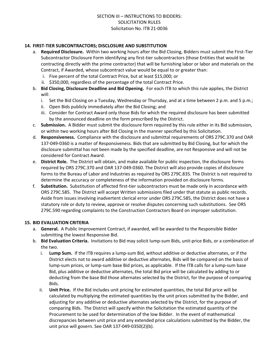#### **14. FIRST-TIER SUBCONTRACTORS; DISCLOSURE AND SUBSTITUTION**

- a. **Required Disclosure.** Within two working hours after the Bid Closing, Bidders must submit the First-Tier Subcontractor Disclosure Form identifying any first-tier subcontractors (those Entities that would be contracting directly with the prime contractor) that will be furnishing labor or labor and materials on the Contract, if Awarded, whose subcontract value would be equal to or greater than:
	- i. Five percent of the total Contract Price, but at least \$15,000; or
	- ii. \$350,000, regardless of the percentage of the total Contract Price.
- b. **Bid Closing, Disclosure Deadline and Bid Opening.** For each ITB to which this rule applies, the District will:
	- i. Set the Bid Closing on a Tuesday, Wednesday or Thursday, and at a time between 2 p.m. and 5 p.m.;
	- ii. Open Bids publicly immediately after the Bid Closing; and
	- iii. Consider for Contract Award only those Bids for which the required disclosure has been submitted by the announced deadline on the form prescribed by the District.
- c. **Submission.** A Bidder must submit the disclosure form required by this rule either in its Bid submission, or within two working hours after Bid Closing in the manner specified by this Solicitation.
- d. **Responsiveness.** Compliance with the disclosure and submittal requirements of ORS 279C.370 and OAR 137-049-0360 is a matter of Responsiveness. Bids that are submitted by Bid Closing, but for which the disclosure submittal has not been made by the specified deadline, are not Responsive and will not be considered for Contract Award.
- e. **District Role.** The District will obtain, and make available for public inspection, the disclosure forms required by ORS 279C.370 and OAR 137-049-0360. The District will also provide copies of disclosure forms to the Bureau of Labor and Industries as required by ORS 279C.835. The District is not required to determine the accuracy or completeness of the information provided on disclosure forms.
- f. **Substitution.** Substitution of affected first-tier subcontractors must be made only in accordance with ORS 279C.585. The District will accept Written submissions filed under that statute as public records. Aside from issues involving inadvertent clerical error under ORS 279C.585, the District does not have a statutory role or duty to review, approve or resolve disputes concerning such substitutions. See ORS 279C.590 regarding complaints to the Construction Contractors Board on improper substitution.

#### **15. BID EVALUATION CRITERIA**

- a. **General.** A Public Improvement Contract, if awarded, will be awarded to the Responsible Bidder submitting the lowest Responsive Bid.
- b. **Bid Evaluation Criteria.** Invitations to Bid may solicit lump-sum Bids, unit-price Bids, or a combination of the two.
	- i. **Lump Sum.** If the ITB requires a lump-sum Bid, without additive or deductive alternates, or if the District elects not to award additive or deductive alternates, Bids will be compared on the basis of lump-sum prices, or lump-sum base Bid prices, as applicable. If the ITB calls for a lump-sum base Bid, plus additive or deductive alternates, the total Bid price will be calculated by adding to or deducting from the base Bid those alternates selected by the District, for the purpose of comparing Bids.
	- ii. **Unit Price.** If the Bid includes unit pricing for estimated quantities, the total Bid price will be calculated by multiplying the estimated quantities by the unit prices submitted by the Bidder, and adjusting for any additive or deductive alternates selected by the District, for the purpose of comparing Bids. The District will specify within the Solicitation the estimated quantity of the Procurement to be used for determination of the low Bidder. In the event of mathematical discrepancies between unit price and any extended price calculations submitted by the Bidder, the unit price will govern. See OAR 137-049-0350(2)(b).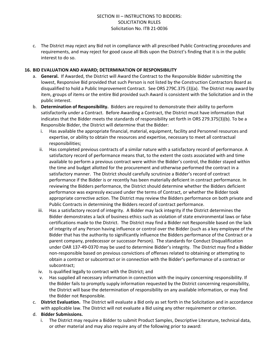c. The District may reject any Bid not in compliance with all prescribed Public Contracting procedures and requirements, and may reject for good cause all Bids upon the District's finding that it is in the public interest to do so.

#### **16. BID EVALUATION AND AWARD; DETERMINATION OF RESPONSIBILITY**

- a. **General.** If Awarded, the District will Award the Contract to the Responsible Bidder submitting the lowest, Responsive Bid provided that such Person is not listed by the Construction Contractors Board as disqualified to hold a Public Improvement Contract. See ORS 279C.375 (3)(a). The District may award by item, groups of items or the entire Bid provided such Award is consistent with the Solicitation and in the public interest.
- b. **Determination of Responsibility.** Bidders are required to demonstrate their ability to perform satisfactorily under a Contract. Before Awarding a Contract, the District must have information that indicates that the Bidder meets the standards of responsibility set forth in ORS 279.375(3)(b). To be a Responsible Bidder, the District will determine that the Bidder:
	- i. Has available the appropriate financial, material, equipment, facility and Personnel resources and expertise, or ability to obtain the resources and expertise, necessary to meet all contractual responsibilities;
	- ii. Has completed previous contracts of a similar nature with a satisfactory record of performance. A satisfactory record of performance means that, to the extent the costs associated with and time available to perform a previous contract were within the Bidder's control, the Bidder stayed within the time and budget allotted for the procurement and otherwise performed the contract in a satisfactory manner. The District should carefully scrutinize a Bidder's record of contract performance if the Bidder is or recently has been materially deficient in contract performance. In reviewing the Bidders performance, the District should determine whether the Bidders deficient performance was expressly excused under the terms of Contract, or whether the Bidder took appropriate corrective action. The District may review the Bidders performance on both private and Public Contracts in determining the Bidders record of contract performance.
	- iii. Has a satisfactory record of integrity. A Bidder may lack integrity if the District determines the Bidder demonstrates a lack of business ethics such as violation of state environmental laws or false certifications made to the District. The District may find a Bidder not Responsible based on the lack of integrity of any Person having influence or control over the Bidder (such as a key employee of the Bidder that has the authority to significantly influence the Bidders performance of the Contract or a parent company, predecessor or successor Person). The standards for Conduct Disqualification under OAR 137-49-0370 may be used to determine Bidder's integrity. The District may find a Bidder non-responsible based on previous convictions of offenses related to obtaining or attempting to obtain a contract or subcontract or in connection with the Bidder's performance of a contract or subcontract;
	- iv. Is qualified legally to contract with the District; and
	- v. Has supplied all necessary information in connection with the inquiry concerning responsibility. If the Bidder fails to promptly supply information requested by the District concerning responsibility, the District will base the determination of responsibility on any available information, or may find the Bidder not Responsible.
- c. **District Evaluation.** The District will evaluate a Bid only as set forth in the Solicitation and in accordance with applicable law. The District will not evaluate a Bid using any other requirement or criterion.

#### d. **Bidder Submissions.**

i. The District may require a Bidder to submit Product Samples, Descriptive Literature, technical data, or other material and may also require any of the following prior to award: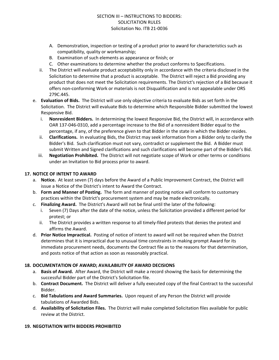- A. Demonstration, inspection or testing of a product prior to award for characteristics such as compatibility, quality or workmanship;
- B. Examination of such elements as appearance or finish; or
- C. Other examinations to determine whether the product conforms to Specifications.
- ii. The District will evaluate product acceptability only in accordance with the criteria disclosed in the Solicitation to determine that a product is acceptable. The District will reject a Bid providing any product that does not meet the Solicitation requirements. The District's rejection of a Bid because it offers non-conforming Work or materials is not Disqualification and is not appealable under ORS 279C.445.
- e. **Evaluation of Bids.** The District will use only objective criteria to evaluate Bids as set forth in the Solicitation. The District will evaluate Bids to determine which Responsible Bidder submitted the lowest Responsive Bid.
	- i. **Nonresident Bidders.** In determining the lowest Responsive Bid, the District will, in accordance with OAR 137-046-0310, add a percentage increase to the Bid of a nonresident Bidder equal to the percentage, if any, of the preference given to that Bidder in the state in which the Bidder resides.
	- ii. **Clarifications.** In evaluating Bids, the District may seek information from a Bidder only to clarify the Bidder's Bid. Such clarification must not vary, contradict or supplement the Bid. A Bidder must submit Written and Signed clarifications and such clarifications will become part of the Bidder's Bid.
	- iii. **Negotiation Prohibited.** The District will not negotiate scope of Work or other terms or conditions under an Invitation to Bid process prior to award.

#### **17. NOTICE OF INTENT TO AWARD**

- a. **Notice.** At least seven (7) days before the Award of a Public Improvement Contract, the District will issue a Notice of the District's intent to Award the Contract.
- b. **Form and Manner of Posting.** The form and manner of posting notice will conform to customary practices within the District's procurement system and may be made electronically.
- c. **Finalizing Award.** The District's Award will not be final until the later of the following:
	- i. Seven (7) Days after the date of the notice, unless the Solicitation provided a different period for protest; or
	- ii. The District provides a written response to all timely-filed protests that denies the protest and affirms the Award.
- d. **Prior Notice Impractical.** Posting of notice of intent to award will not be required when the District determines that it is impractical due to unusual time constraints in making prompt Award for its immediate procurement needs, documents the Contract file as to the reasons for that determination, and posts notice of that action as soon as reasonably practical.

#### **18. DOCUMENTATION OF AWARD; AVAILABILITY OF AWARD DECISIONS**

- a. **Basis of Award.** After Award, the District will make a record showing the basis for determining the successful Bidder part of the District's Solicitation file.
- b. **Contract Document.** The District will deliver a fully executed copy of the final Contract to the successful Bidder.
- c. **Bid Tabulations and Award Summaries.** Upon request of any Person the District will provide tabulations of Awarded Bids.
- d. **Availability of Solicitation Files.** The District will make completed Solicitation files available for public review at the District.

#### **19. NEGOTIATION WITH BIDDERS PROHIBITED**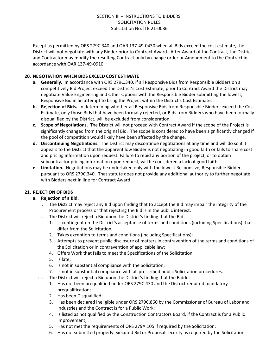Except as permitted by ORS 279C.340 and OAR 137-49-0430 when all Bids exceed the cost estimate, the District will not negotiate with any Bidder prior to Contract Award. After Award of the Contract, the District and Contractor may modify the resulting Contract only by change order or Amendment to the Contract in accordance with OAR 137-49-0910.

#### **20. NEGOTIATION WHEN BIDS EXCEED COST ESTIMATE**

- **a. Generally.** In accordance with ORS 279C.340, if all Responsive Bids from Responsible Bidders on a competitively Bid Project exceed the District's Cost Estimate, prior to Contract Award the District may negotiate Value Engineering and Other Options with the Responsible Bidder submitting the lowest, Responsive Bid in an attempt to bring the Project within the District's Cost Estimate.
- **b. Rejection of Bids.** In determining whether all Responsive Bids from Responsible Bidders exceed the Cost Estimate, only those Bids that have been formally rejected, or Bids from Bidders who have been formally disqualified by the District, will be excluded from consideration.
- **c. Scope of Negotiations.** The District will not proceed with Contract Award if the scope of the Project is significantly changed from the original Bid. The scope is considered to have been significantly changed if the pool of competition would likely have been affected by the change.
- **d. Discontinuing Negotiations.** The District may discontinue negotiations at any time and will do so if it appears to the District that the apparent low Bidder is not negotiating in good faith or fails to share cost and pricing information upon request. Failure to rebid any portion of the project, or to obtain subcontractor pricing information upon request, will be considered a lack of good faith.
- **e. Limitation.** Negotiations may be undertaken only with the lowest Responsive, Responsible Bidder pursuant to ORS 279C.340. That statute does not provide any additional authority to further negotiate with Bidders next in line for Contract Award.

#### **21. REJECTION OF BIDS**

#### **a. Rejection of a Bid.**

- i. The District may reject any Bid upon finding that to accept the Bid may impair the integrity of the Procurement process or that rejecting the Bid is in the public interest.
- ii. The District will reject a Bid upon the District's finding that the Bid:
	- 1. Is contingent on the District's acceptance of terms and conditions (including Specifications) that differ from the Solicitation;
	- 2. Takes exception to terms and conditions (including Specifications);
	- 3. Attempts to prevent public disclosure of matters in contravention of the terms and conditions of the Solicitation or in contravention of applicable law;
	- 4. Offers Work that fails to meet the Specifications of the Solicitation;
	- 5. Is late;
	- 6. Is not in substantial compliance with the Solicitation;
	- 7. Is not in substantial compliance with all prescribed public Solicitation procedures.
- iii. The District will reject a Bid upon the District's finding that the Bidder:
	- 1. Has not been prequalified under ORS 279C.430 and the District required mandatory prequalification;
	- 2. Has been Disqualified;
	- 3. Has been declared ineligible under ORS 279C.860 by the Commissioner of Bureau of Labor and Industries and the Contract is for a Public Work;
	- 4. Is listed as not qualified by the Construction Contractors Board, if the Contract is for a Public Improvement;
	- 5. Has not met the requirements of ORS 279A.105 if required by the Solicitation;
	- 6. Has not submitted properly executed Bid or Proposal security as required by the Solicitation;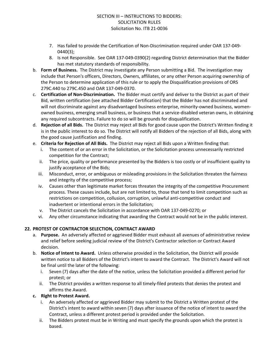- 7. Has failed to provide the Certification of Non-Discrimination required under OAR 137-049- 0440(3);
- 8. Is not Responsible. See OAR 137-049-0390(2) regarding District determination that the Bidder has met statutory standards of responsibility.
- b. **Form of Business.** The District may investigate any Person submitting a Bid. The investigation may include that Person's officers, Directors, Owners, affiliates, or any other Person acquiring ownership of the Person to determine application of this rule or to apply the Disqualification provisions of ORS 279C.440 to 279C.450 and OAR 137-049-0370.
- c. **Certification of Non-Discrimination.** The Bidder must certify and deliver to the District as part of their Bid, written certification (see attached Bidder Certification) that the Bidder has not discriminated and will not discriminate against any disadvantaged business enterprise, minority-owned business, womenowned business, emerging small business, or business that a service-disabled veteran owns, in obtaining any required subcontracts. Failure to do so will be grounds for disqualification.
- d. **Rejection of all Bids.** The District may reject all Bids for good cause upon the District's Written finding it is in the public interest to do so. The District will notify all Bidders of the rejection of all Bids, along with the good cause justification and finding.
- e. **Criteria for Rejection of All Bids.** The District may reject all Bids upon a Written finding that:
	- i. The content of or an error in the Solicitation, or the Solicitation process unnecessarily restricted competition for the Contract;
	- ii. The price, quality or performance presented by the Bidders is too costly or of insufficient quality to justify acceptance of the Bids;
	- iii. Misconduct, error, or ambiguous or misleading provisions in the Solicitation threaten the fairness and integrity of the competitive process;
	- iv. Causes other than legitimate market forces threaten the integrity of the competitive Procurement process. These causes include, but are not limited to, those that tend to limit competition such as restrictions on competition, collusion, corruption, unlawful anti-competitive conduct and inadvertent or intentional errors in the Solicitation;
	- v. The District cancels the Solicitation in accordance with OAR 137-049-0270; or
	- vi. Any other circumstance indicating that awarding the Contract would not be in the public interest.

## **22. PROTEST OF CONTRACTOR SELECTION, CONTRACT AWARD**

- a. **Purpose.** An adversely affected or aggrieved Bidder must exhaust all avenues of administrative review and relief before seeking judicial review of the District's Contractor selection or Contract Award decision.
- b. **Notice of Intent to Award.** Unless otherwise provided in the Solicitation, the District will provide written notice to all Bidders of the District's intent to award the Contract. The District's Award will not be final until the later of the following:
	- i. Seven (7) days after the date of the notice, unless the Solicitation provided a different period for protest; or
	- ii. The District provides a written response to all timely-filed protests that denies the protest and affirms the Award.

#### **c. Right to Protest Award.**

- i. An adversely affected or aggrieved Bidder may submit to the District a Written protest of the District's intent to award within seven (7) days after issuance of the notice of intent to award the Contract, unless a different protest period is provided under the Solicitation.
- ii. The Bidders protest must be in Writing and must specify the grounds upon which the protest is based.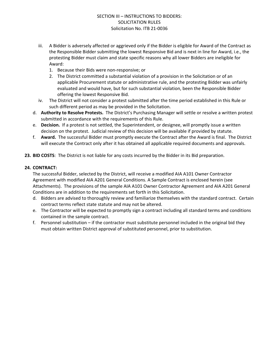- iii. A Bidder is adversely affected or aggrieved only if the Bidder is eligible for Award of the Contract as the Responsible Bidder submitting the lowest Responsive Bid and is next in line for Award, i.e., the protesting Bidder must claim and state specific reasons why all lower Bidders are ineligible for Award:
	- 1. Because their Bids were non-responsive; or
	- 2. The District committed a substantial violation of a provision in the Solicitation or of an applicable Procurement statute or administrative rule, and the protesting Bidder was unfairly evaluated and would have, but for such substantial violation, been the Responsible Bidder offering the lowest Responsive Bid.
- iv. The District will not consider a protest submitted after the time period established in this Rule or such different period as may be provided in the Solicitation.
- d. **Authority to Resolve Protests.** The District's Purchasing Manager will settle or resolve a written protest submitted in accordance with the requirements of this Rule.
- e. **Decision.** If a protest is not settled, the Superintendent, or designee, will promptly issue a written decision on the protest. Judicial review of this decision will be available if provided by statute.
- f. **Award.** The successful Bidder must promptly execute the Contract after the Award is final. The District will execute the Contract only after it has obtained all applicable required documents and approvals.
- **23. BID COSTS**: The District is not liable for any costs incurred by the Bidder in its Bid preparation.

#### **24. CONTRACT:**

The successful Bidder, selected by the District, will receive a modified AIA A101 Owner Contractor Agreement with modified AIA A201 General Conditions. A Sample Contract is enclosed herein (see Attachments). The provisions of the sample AIA A101 Owner Contractor Agreement and AIA A201 General Conditions are in addition to the requirements set forth in this Solicitation.

- d. Bidders are advised to thoroughly review and familiarize themselves with the standard contract. Certain contract terms reflect state statute and may not be altered.
- e. The Contractor will be expected to promptly sign a contract including all standard terms and conditions contained in the sample contract.
- f. Personnel substitution if the contractor must substitute personnel included in the original bid they must obtain written District approval of substituted personnel, prior to substitution.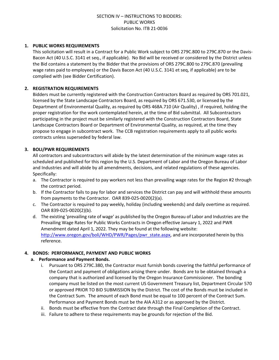#### **1. PUBLIC WORKS REQUIREMENTS**

This solicitation will result in a Contract for a Public Work subject to ORS 279C.800 to 279C.870 or the Davis-Bacon Act (40 U.S.C. 3141 et seq., if applicable). No Bid will be received or considered by the District unless the Bid contains a statement by the Bidder that the provisions of ORS 279C.800 to 279C.870 (prevailing wage rates paid to employees) or the Davis Bacon Act (40 U.S.C. 3141 et seq, if applicable) are to be complied with (see Bidder Certification).

#### **2. REGISTRATION REQUIREMENTS**

Bidders must be currently registered with the Construction Contractors Board as required by ORS 701.021, licensed by the State Landscape Contractors Board, as required by ORS 671.530, or licensed by the Department of Environmental Quality, as required by ORS 468A.710 (Air Quality) , if required, holding the proper registration for the work contemplated herein, at the time of Bid submittal. All Subcontractors participating in the project must be similarly registered with the Construction Contractors Board, State Landscape Contractors Board or Department of Environmental Quality, as required, at the time they propose to engage in subcontract work. The CCB registration requirements apply to all public works contracts unless superseded by federal law.

#### **3. BOLI/PWR REQUIREMENTS**

All contractors and subcontractors will abide by the latest determination of the minimum wage rates as scheduled and published for this region by the U.S. Department of Labor and the Oregon Bureau of Labor and Industries and will abide by all amendments, decisions, and related regulations of these agencies. Specifically:

- a. The Contractor is required to pay workers not less than prevailing wage rates for the Region #2 through the contract period.
- b. If the Contractor fails to pay for labor and services the District can pay and will withhold these amounts from payments to the Contractor. OAR 839-025-0020(2)(a).
- c. The Contractor is required to pay weekly, holiday (including weekends) and daily overtime as required. OAR 839-025-0020(2)(b).
- d. The existing 'prevailing rate of wage' as published by the Oregon Bureau of Labor and Industries are the Prevailing Wage Rates for Public Works Contracts in Oregon effective January 1, 2022 and PWR Amendment dated April 1, 2022. They may be found at the following website: [http://www.oregon.gov/boli/WHD/PWR/Pages/pwr\\_state.aspx](http://www.oregon.gov/boli/WHD/PWR/Pages/pwr_state.aspx), and are incorporated herein by this reference.

#### **4. BONDS: PERFORMANCE, PAYMENT AND PUBLIC WORKS**

#### **a. Performance and Payment Bonds.**

- i. Pursuant to ORS 279C.380, the Contractor must furnish bonds covering the faithful performance of the Contact and payment of obligations arising there under. Bonds are to be obtained through a company that is authorized and licensed by the Oregon Insurance Commissioner. The bonding company must be listed on the most current US Government Treasury list, Department Circular 570 or approved PRIOR TO BID SUBMISSION by the District. The cost of the Bonds must be included in the Contract Sum. The amount of each Bond must be equal to 100 percent of the Contract Sum. Performance and Payment Bonds must be the AIA A312 or as approved by the District.
- ii. Bonds must be effective from the Contract date through the Final Completion of the Contract.
- iii. Failure to adhere to these requirements may be grounds for rejection of the Bid.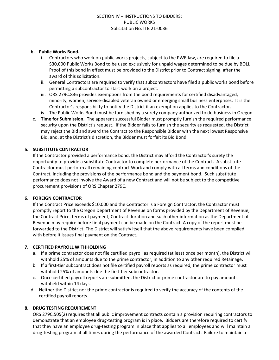#### **b. Public Works Bond.**

- i. Contractors who work on public works projects, subject to the PWR law, are required to file a \$30,000 Public Works Bond to be used exclusively for unpaid wages determined to be due by BOLI. Proof of this bond in effect must be provided to the District prior to Contract signing, after the award of this solicitation.
- ii. General Contractors are required to verify that subcontractors have filed a public works bond before permitting a subcontractor to start work on a project.
- iii. ORS 279C.836 provides exemptions from the bond requirements for certified disadvantaged, minority, women, service-disabled veteran owned or emerging small business enterprises. It is the Contractor's responsibility to notify the District if an exemption applies to the Contractor.
- iv. The Public Works Bond must be furnished by a surety company authorized to do business in Oregon
- c. **Time for Submission.** The apparent successful Bidder must promptly furnish the required performance security upon the District's request. If the Bidder fails to furnish the security as requested, the District may reject the Bid and award the Contract to the Responsible Bidder with the next lowest Responsive Bid, and, at the District's discretion, the Bidder must forfeit its Bid Bond.

#### **5. SUBSTITUTE CONTRACTOR**

If the Contractor provided a performance bond, the District may afford the Contractor's surety the opportunity to provide a substitute Contractor to complete performance of the Contract. A substitute Contractor must perform all remaining contract Work and comply with all terms and conditions of the Contract, including the provisions of the performance bond and the payment bond. Such substitute performance does not involve the Award of a new Contract and will not be subject to the competitive procurement provisions of ORS Chapter 279C.

#### **6. FOREIGN CONTRACTOR**

If the Contract Price exceeds \$10,000 and the Contractor is a Foreign Contractor, the Contractor must promptly report to the Oregon Department of Revenue on forms provided by the Department of Revenue, the Contract Price, terms of payment, Contract duration and such other information as the Department of Revenue may require before final payment can be made on the Contract. A copy of the report must be forwarded to the District. The District will satisfy itself that the above requirements have been complied with before it issues final payment on the Contract.

#### **7. CERTIFIED PAYROLL WITHHOLDING**

- a. If a prime contractor does not file certified payroll as required (at least once per month), the District will withhold 25% of amounts due to the prime contractor, in addition to any other required Retainage.
- b. If a first-tier subcontract does not file certified payroll reports as required, the prime contractor must withhold 25% of amounts due the first-tier subcontractor.
- c. Once certified payroll reports are submitted, the District or prime contractor are to pay amounts withheld within 14 days.
- d. Neither the District nor the prime contractor is required to verify the accuracy of the contents of the certified payroll reports.

#### **8. DRUG TESTING REQUIREMENT**

ORS 279C.505(2) requires that all public improvement contracts contain a provision requiring contractors to demonstrate that an employee drug-testing program is in place. Bidders are therefore required to certify that they have an employee drug-testing program in place that applies to all employees and will maintain a drug-testing program at all times during the performance of the awarded Contract. Failure to maintain a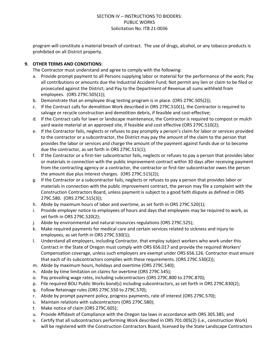program will constitute a material breach of contract. The use of drugs, alcohol, or any tobacco products is prohibited on all District property.

#### **9. OTHER TERMS AND CONDITIONS:**

The Contractor must understand and agree to comply with the following:

- a. Provide prompt payment to all Persons supplying labor or material for the performance of the work; Pay all contributions or amounts due the Industrial Accident Fund; Not permit any lien or claim to be filed or prosecuted against the District; and Pay to the Department of Revenue all sums withheld from employees. (ORS 279C.505(1));
- b. Demonstrate that an employee drug testing program is in place. (ORS 279C.505(2));
- c. If the Contract calls for demolition Work described in ORS 279C.510(1), the Contractor is required to salvage or recycle construction and demolition debris, if feasible and cost-effective;
- d. If the Contract calls for lawn or landscape maintenance, the Contractor is required to compost or mulch yard waste material at an approved site, if feasible and cost effective (ORS 279C.510(2);
- e. If the Contractor fails, neglects or refuses to pay promptly a person's claim for labor or services provided to the contractor or a subcontractor, the District may pay the amount of the claim to the person that provides the labor or services and charge the amount of the payment against funds due or to become due the contractor, as set forth in ORS 279C.515(1);
- f. If the Contractor or a first-tier subcontractor fails, neglects or refuses to pay a person that provides labor or materials in connection with the public improvement contract within 30 days after receiving payment from the contracting agency or a contractor, the contractor or first-tier subcontractor owes the person the amount due plus interest charges. (ORS 279C.515(2));
- g. If the Contractor or a subcontractor fails, neglects or refuses to pay a person that provides labor or materials in connection with the public improvement contract, the person may file a complaint with the Construction Contractors Board, unless payment is subject to a good faith dispute as defined in ORS 279C.580. (ORS 279C.515(3));
- h. Abide by maximum hours of labor and overtime, as set forth in ORS 279C.520(1);
- i. Provide employer notice to employees of hours and days that employees may be required to work, as set forth in ORS 279C.520(2);
- j. Abide by environmental and natural resources regulations (ORS 279C.525);
- k. Make required payments for medical care and certain services related to sickness and injury to employees, as set forth in ORS 279C.530(1);
- l. Understand all employers, including Contractor, that employ subject workers who work under this Contract in the State of Oregon must comply with ORS 656.017 and provide the required Workers' Compensation coverage, unless such employers are exempt under ORS 656.126. Contractor must ensure that each of its subcontractors complies with these requirements. (ORS 279C.530(2));
- m. Abide by maximum hours, holidays and overtime (ORS 279C.540);
- n. Abide by time limitation on claims for overtime (ORS 279C.545);
- o. Pay prevailing wage rates, including subcontractors (ORS 279C.800 to 279C.870);
- p. File required BOLI Public Works bond(s) including subcontractors, as set forth in ORS 279C.830(2);
- q. Follow Retainage rules (ORS 279C.550 to 279C.570);
- r. Abide by prompt payment policy, progress payments, rate of interest (ORS 279C.570);
- s. Maintain relations with subcontractors (ORS 279C.580);
- t. Make notice of claim (ORS 279C.605);
- u. Provide Affidavit of Compliance with the Oregon tax laws in accordance with ORS 305.385; and
- v. Certify that all subcontractors performing Work described in ORS 701.005(2) (i.e., construction Work) will be registered with the Construction Contractors Board, licensed by the State Landscape Contractors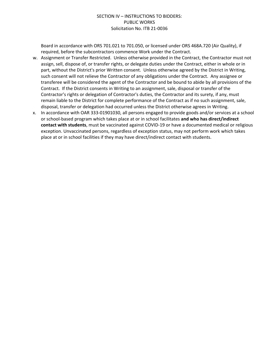Board in accordance with ORS 701.021 to 701.050, or licensed under ORS 468A.720 (Air Quality), if required, before the subcontractors commence Work under the Contract.

- w. Assignment or Transfer Restricted. Unless otherwise provided in the Contract, the Contractor must not assign, sell, dispose of, or transfer rights, or delegate duties under the Contract, either in whole or in part, without the District's prior Written consent. Unless otherwise agreed by the District in Writing, such consent will not relieve the Contractor of any obligations under the Contract. Any assignee or transferee will be considered the agent of the Contractor and be bound to abide by all provisions of the Contract. If the District consents in Writing to an assignment, sale, disposal or transfer of the Contractor's rights or delegation of Contractor's duties, the Contractor and its surety, if any, must remain liable to the District for complete performance of the Contract as if no such assignment, sale, disposal, transfer or delegation had occurred unless the District otherwise agrees in Writing.
- x. In accordance with OAR 333-01901030, all persons engaged to provide goods and/or services at a school or school-based program which takes place at or in school facilitates **and who has direct/indirect contact with students**, must be vaccinated against COVID-19 or have a documented medical or religious exception. Unvaccinated persons, regardless of exception status, may not perform work which takes place at or in school facilities if they may have direct/indirect contact with students.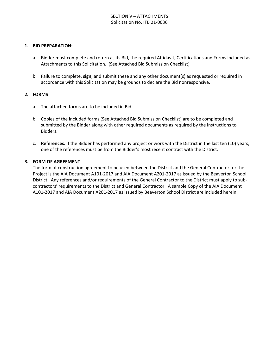#### **1. BID PREPARATION:**

- a. Bidder must complete and return as its Bid, the required Affidavit, Certifications and Forms included as Attachments to this Solicitation. (See Attached Bid Submission Checklist)
- b. Failure to complete, **sign**, and submit these and any other document(s) as requested or required in accordance with this Solicitation may be grounds to declare the Bid nonresponsive.

#### **2. FORMS**

- a. The attached forms are to be included in Bid.
- b. Copies of the included forms (See Attached Bid Submission Checklist) are to be completed and submitted by the Bidder along with other required documents as required by the Instructions to Bidders.
- c. **References.** If the Bidder has performed any project or work with the District in the last ten (10) years, one of the references must be from the Bidder's most recent contract with the District.

#### **3. FORM OF AGREEMENT**

The form of construction agreement to be used between the District and the General Contractor for the Project is the AIA Document A101-2017 and AIA Document A201-2017 as issued by the Beaverton School District. Any references and/or requirements of the General Contractor to the District must apply to subcontractors' requirements to the District and General Contractor. A sample Copy of the AIA Document A101-2017 and AIA Document A201-2017 as issued by Beaverton School District are included herein.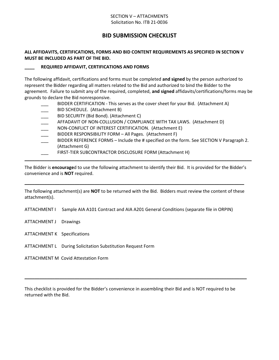#### SECTION V – ATTACHMENTS Solicitation No. ITB 21-0036

## **BID SUBMISSION CHECKLIST**

#### **ALL AFFIDAVITS, CERTIFICATIONS, FORMS AND BID CONTENT REQUIREMENTS AS SPECIFIED IN SECTION V MUST BE INCLUDED AS PART OF THE BID.**

#### **\_\_\_\_ REQUIRED AFFIDAVIT, CERTIFICATIONS AND FORMS**

The following affidavit, certifications and forms must be completed **and signed** by the person authorized to represent the Bidder regarding all matters related to the Bid and authorized to bind the Bidder to the agreement. Failure to submit any of the required, completed, **and signed** affidavits/certifications/forms may be grounds to declare the Bid nonresponsive.

- BIDDER CERTIFICATION This serves as the cover sheet for your Bid. (Attachment A)
- BID SCHEDULE. (Attachment B)
- BID SECURITY (Bid Bond). (Attachment C)
- AFFADAVIT OF NON-COLLUSION / COMPLIANCE WITH TAX LAWS. (Attachment D)
- NON-CONFLICT OF INTEREST CERTIFICATION. (Attachment E)
- BIDDER RESPONSIBILITY FORM All Pages. (Attachment F)
- BIDDER REFERENCE FORMS Include the # specified on the form. See SECTION V Paragraph 2. (Attachment G)
- FIRST-TIER SUBCONTRACTOR DISCLOSURE FORM (Attachment H)

The Bidder is **encourage**d to use the following attachment to identify their Bid. It is provided for the Bidder's convenience and is **NOT** required.

**\_\_\_\_\_\_\_\_\_\_\_\_\_\_\_\_\_\_\_\_\_\_\_\_\_\_\_\_\_\_\_\_\_\_\_\_\_\_\_\_\_\_\_\_\_\_\_\_\_\_\_\_\_\_\_\_\_\_\_\_\_\_\_\_\_\_\_\_\_\_\_\_\_\_\_\_\_\_\_\_\_\_\_\_\_\_\_\_\_\_\_**

The following attachment(s) are **NOT** to be returned with the Bid. Bidders must review the content of these attachment(s).

**\_\_\_\_\_\_\_\_\_\_\_\_\_\_\_\_\_\_\_\_\_\_\_\_\_\_\_\_\_\_\_\_\_\_\_\_\_\_\_\_\_\_\_\_\_\_\_\_\_\_\_\_\_\_\_\_\_\_\_\_\_\_\_\_\_\_\_\_\_\_\_\_\_\_\_\_\_\_\_\_\_\_\_\_\_\_\_\_**

ATTACHMENT I Sample AIA A101 Contract and AIA A201 General Conditions (separate file in ORPIN)

- ATTACHMENT J Drawings
- ATTACHMENT K Specifications
- ATTACHMENT L During Solicitation Substitution Request Form

ATTACHMENT M Covid Attestation Form

This checklist is provided for the Bidder's convenience in assembling their Bid and is NOT required to be returned with the Bid.

**\_\_\_\_\_\_\_\_\_\_\_\_\_\_\_\_\_\_\_\_\_\_\_\_\_\_\_\_\_\_\_\_\_\_\_\_\_\_\_\_\_\_\_\_\_\_\_\_\_\_\_\_\_\_\_\_\_\_\_\_\_\_\_\_\_\_\_\_\_\_\_\_\_\_\_\_\_\_\_\_\_\_\_\_\_\_\_\_\_**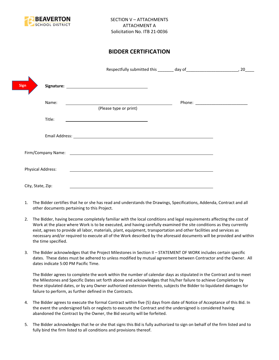

## **BIDDER CERTIFICATION**

|                          |                                                                                                                                                                                                                                      | 20 |
|--------------------------|--------------------------------------------------------------------------------------------------------------------------------------------------------------------------------------------------------------------------------------|----|
| <b>Sign</b>              |                                                                                                                                                                                                                                      |    |
| Name:                    | (Please type or print)                                                                                                                                                                                                               |    |
| Title:                   | the control of the control of the control of the control of the control of                                                                                                                                                           |    |
|                          |                                                                                                                                                                                                                                      |    |
|                          | Firm/Company Name: <u>contract the contract of the contract of the contract of the contract of the contract of the contract of the contract of the contract of the contract of the contract of the contract of the contract of t</u> |    |
| <b>Physical Address:</b> |                                                                                                                                                                                                                                      |    |
| City, State, Zip:        |                                                                                                                                                                                                                                      |    |

- 1. The Bidder certifies that he or she has read and understands the Drawings, Specifications, Addenda, Contract and all other documents pertaining to this Project.
- 2. The Bidder, having become completely familiar with the local conditions and legal requirements affecting the cost of Work at the place where Work is to be executed, and having carefully examined the site conditions as they currently exist, agrees to provide all labor, materials, plant, equipment, transportation and other facilities and services as necessary and/or required to execute all of the Work described by the aforesaid documents will be provided and within the time specified.
- 3. The Bidder acknowledges that the Project Milestones in Section II STATEMENT OF WORK includes certain specific dates. These dates must be adhered to unless modified by mutual agreement between Contractor and the Owner. All dates indicate 5:00 PM Pacific Time.

The Bidder agrees to complete the work within the number of calendar days as stipulated in the Contract and to meet the Milestones and Specific Dates set forth above and acknowledges that his/her failure to achieve Completion by these stipulated dates, or by any Owner authorized extension thereto, subjects the Bidder to liquidated damages for failure to perform, as further defined in the Contracts.

- 4. The Bidder agrees to execute the formal Contract within five (5) days from date of Notice of Acceptance of this Bid. In the event the undersigned fails or neglects to execute the Contract and the undersigned is considered having abandoned the Contract by the Owner, the Bid security will be forfeited.
- 5. The Bidder acknowledges that he or she that signs this Bid is fully authorized to sign on behalf of the firm listed and to fully bind the firm listed to all conditions and provisions thereof.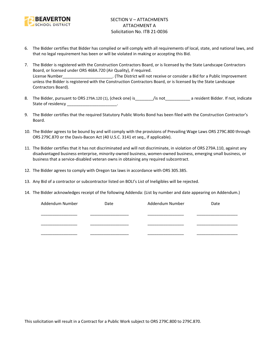

- 6. The Bidder certifies that Bidder has complied or will comply with all requirements of local, state, and national laws, and that no legal requirement has been or will be violated in making or accepting this Bid.
- 7. The Bidder is registered with the Construction Contractors Board, or is licensed by the State Landscape Contractors Board, or licensed under ORS 468A.720 (Air Quality), if required. License Number\_\_\_\_\_\_\_\_\_\_\_\_\_\_\_\_\_\_\_\_\_\_. (The District will not receive or consider a Bid for a Public Improvement unless the Bidder is registered with the Construction Contractors Board, or is licensed by the State Landscape Contractors Board).
- 8. The Bidder, pursuant to ORS 279A.120 (1), (check one) is figure is figure to a resident Bidder. If not, indicate State of residency \_\_\_\_\_\_\_\_\_\_\_\_\_\_\_\_\_\_\_\_\_\_\_\_.
- 9. The Bidder certifies that the required Statutory Public Works Bond has been filed with the Construction Contractor's Board.
- 10. The Bidder agrees to be bound by and will comply with the provisions of Prevailing Wage Laws ORS 279C.800 through ORS 279C.870 or the Davis-Bacon Act (40 U.S.C. 3141 et seq., if applicable).
- 11. The Bidder certifies that it has not discriminated and will not discriminate, in violation of ORS 279A.110, against any disadvantaged business enterprise, minority-owned business, women-owned business, emerging small business, or business that a service-disabled veteran owns in obtaining any required subcontract.
- 12. The Bidder agrees to comply with Oregon tax laws in accordance with ORS 305.385.
- 13. Any Bid of a contractor or subcontractor listed on BOLI's List of Ineligibles will be rejected.
- 14. The Bidder acknowledges receipt of the following Addenda: (List by number and date appearing on Addendum.)

| Addendum Number | Date | Addendum Number | Date |
|-----------------|------|-----------------|------|
|                 |      |                 |      |
|                 |      |                 |      |
|                 |      |                 |      |
|                 |      |                 |      |
|                 |      |                 |      |

This solicitation will result in a Contract for a Public Work subject to ORS 279C.800 to 279C.870.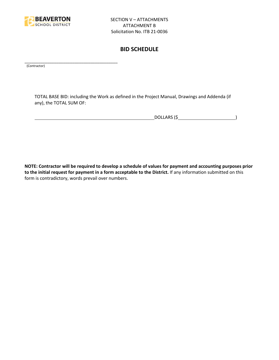

\_\_\_\_\_\_\_\_\_\_\_\_\_\_\_\_\_\_\_\_\_\_\_\_\_\_\_\_\_\_\_\_\_\_\_\_\_\_\_\_\_

## **BID SCHEDULE**

(Contractor)

TOTAL BASE BID: including the Work as defined in the Project Manual, Drawings and Addenda (if any), the TOTAL SUM OF:

DOLLARS (\$ )

**NOTE: Contractor will be required to develop a schedule of values for payment and accounting purposes prior to the initial request for payment in a form acceptable to the District.** If any information submitted on this form is contradictory, words prevail over numbers.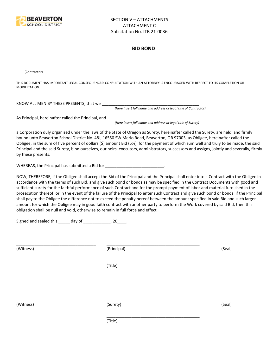

#### **BID BOND**

(Contractor)

THIS DOCUMENT HAS IMPORTANT LEGAL CONSEQUENCES: CONSULTATION WITH AN ATTORNEY IS ENCOURAGED WITH RESPECT TO ITS COMPLETION OR MODIFICATION.

KNOW ALL MEN BY THESE PRESENTS, that we

*(Here insert full name and address or legal title of Contractor)*

As Principal, hereinafter called the Principal, and \_\_\_\_\_\_\_\_\_\_\_\_\_\_\_\_\_\_\_\_\_\_\_\_\_\_\_\_

\_\_\_\_\_\_\_\_\_\_\_\_\_\_\_\_\_\_\_\_\_\_\_\_\_\_\_\_\_\_\_\_\_\_\_\_\_\_\_\_\_

*(Here insert full name and address or legal title of Surety)*

a Corporation duly organized under the laws of the State of Oregon as Surety, hereinafter called the Surety, are held and firmly bound unto Beaverton School District No. 48J, 16550 SW Merlo Road, Beaverton, OR 97003, as Obligee, hereinafter called the Obligee, in the sum of five percent of dollars (\$) amount Bid (5%), for the payment of which sum well and truly to be made, the said Principal and the said Surety, bind ourselves, our heirs, executors, administrators, successors and assigns, jointly and severally, firmly by these presents.

WHEREAS, the Principal has submitted a Bid for \_\_\_\_\_\_\_\_\_\_\_\_\_\_\_\_\_\_\_\_\_\_\_\_\_\_\_\_\_\_\_\_\_

NOW, THEREFORE, if the Obligee shall accept the Bid of the Principal and the Principal shall enter into a Contract with the Obligee in accordance with the terms of such Bid, and give such bond or bonds as may be specified in the Contract Documents with good and sufficient surety for the faithful performance of such Contract and for the prompt payment of labor and material furnished in the prosecution thereof, or in the event of the failure of the Principal to enter such Contract and give such bond or bonds, if the Principal shall pay to the Obligee the difference not to exceed the penalty hereof between the amount specified in said Bid and such larger amount for which the Obligee may in good faith contract with another party to perform the Work covered by said Bid, then this obligation shall be null and void, otherwise to remain in full force and effect.

\_\_\_\_\_\_\_\_\_\_\_\_\_\_\_\_\_\_\_\_\_\_\_\_\_\_\_\_\_\_\_\_\_\_\_\_\_\_\_\_\_

\_\_\_\_\_\_\_\_\_\_\_\_\_\_\_\_\_\_\_\_\_\_\_\_\_\_\_\_\_\_\_\_\_\_\_\_\_\_\_\_\_

Signed and sealed this  $\frac{1}{\sqrt{2}}$  day of  $\frac{1}{\sqrt{2}}$  20  $\frac{1}{\sqrt{2}}$ .

(Witness) (Principal) (Seal)

(Title)

\_\_\_\_\_\_\_\_\_\_\_\_\_\_\_\_\_\_\_\_\_\_\_\_\_\_\_\_\_\_\_\_\_\_\_ \_\_\_\_\_\_\_\_\_\_\_\_\_\_\_\_\_\_\_\_\_\_\_\_\_\_\_\_\_\_\_\_\_\_\_\_\_\_\_\_\_

(Witness) (Surety) (Seal)

\_\_\_\_\_\_\_\_\_\_\_\_\_\_\_\_\_\_\_\_\_\_\_\_\_\_\_\_\_\_\_\_\_\_\_ \_\_\_\_\_\_\_\_\_\_\_\_\_\_\_\_\_\_\_\_\_\_\_\_\_\_\_\_\_\_\_\_\_\_\_\_\_\_\_\_\_

(Title)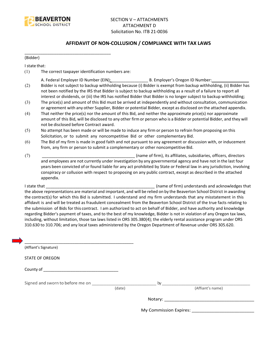

#### **AFFIDAVIT OF NON-COLLUSION / COMPLIANCE WITH TAX LAWS**

(Bidder)

I state that:

(1) The correct taxpayer identification numbers are:

\_\_\_\_\_\_\_\_\_\_\_\_\_\_\_\_\_\_\_\_\_\_\_\_\_\_\_\_\_\_\_\_\_\_\_\_\_\_

- A. Federal Employer ID Number (EIN): \_\_\_\_\_\_\_\_\_\_\_\_\_\_\_\_ B. Employer's Oregon ID Number: \_\_\_\_\_\_\_\_\_\_\_\_\_\_\_\_
- (2) Bidder is not subject to backup withholding because (i) Bidder is exempt from backup withholding, (ii) Bidder has not been notified by the IRS that Bidder is subject to backup withholding as a result of a failure to report all interest or dividends, or (iii) the IRS has notified Bidder that Bidder is no longer subject to backup withholding;
- (3) The price(s) and amount of this Bid must be arrived at independently and without consultation, communication or agreement with any other Supplier, Bidder or potential Bidder, except as disclosed on the attached appendix.
- (4) That neither the price(s) nor the amount of this Bid, and neither the approximate price(s) nor approximate amount of this Bid, will be disclosed to any other firm or person who is a Bidder or potential Bidder, and they will not be disclosed before Contract award.
- (5) No attempt has been made or will be made to induce any firm or person to refrain from proposing on this Solicitation, or to submit any noncompetitive Bid or other complementary Bid.
- (6) The Bid of my firm is made in good faith and not pursuant to any agreement or discussion with, or inducement from, any firm or person to submit a complementary or other noncompetitive Bid.
- (7) \_\_\_\_\_\_\_\_\_\_\_\_\_\_\_\_\_\_\_\_\_\_\_\_\_\_\_\_\_\_\_\_\_\_\_\_\_\_\_\_\_ (name of firm), its affiliates, subsidiaries, officers, directors and employees are not currently under investigation by any governmental agency and have not in the last four years been convicted of or found liable for any act prohibited by State or Federal law in any jurisdiction, involving conspiracy or collusion with respect to proposing on any public contract, except as described in the attached appendix.

I state that **I state that**  $\blacksquare$  (name of firm) understands and acknowledges that the above representations are material and important, and will be relied on by the Beaverton School District in awarding the contract(s) for which this Bid is submitted. I understand and my firm understands that any misstatement in this affidavit is and will be treated as fraudulent concealment from the Beaverton School District of the true facts relating to the submission of Bids for this contract. I am authorized to act on behalf of Bidder, and have authority and knowledge regarding Bidder's payment of taxes, and to the best of my knowledge, Bidder is not in violation of any Oregon tax laws, including, without limitation, those tax laws listed in ORS 305.380(4); the elderly rental assistance program under ORS 310.630 to 310.706; and any local taxes administered by the Oregon Department of Revenue under ORS 305.620.

| (Affiant's Signature)            |        |                                     |
|----------------------------------|--------|-------------------------------------|
| <b>STATE OF OREGON</b>           |        |                                     |
|                                  |        |                                     |
| Signed and sworn to before me on |        | (Affiant's name)                    |
|                                  | (date) |                                     |
|                                  |        | My Commission Expires: ____________ |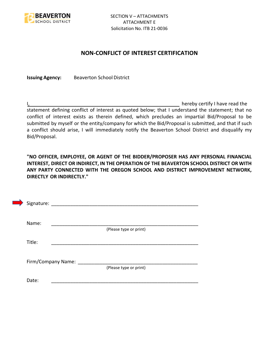

## **NON-CONFLICT OF INTEREST CERTIFICATION**

**Issuing Agency:** Beaverton School District

I, the contract of the contract of the contract of the contract of the hereby certify I have read the statement defining conflict of interest as quoted below; that I understand the statement; that no conflict of interest exists as therein defined, which precludes an impartial Bid/Proposal to be submitted by myself or the entity/company for which the Bid/Proposal is submitted, and that if such a conflict should arise, I will immediately notify the Beaverton School District and disqualify my Bid/Proposal.

**"NO OFFICER, EMPLOYEE, OR AGENT OF THE BIDDER/PROPOSER HAS ANY PERSONAL FINANCIAL INTEREST, DIRECT OR INDIRECT, IN THE OPERATION OF THE BEAVERTON SCHOOL DISTRICT OR WITH ANY PARTY CONNECTED WITH THE OREGON SCHOOL AND DISTRICT IMPROVEMENT NETWORK, DIRECTLY OR INDIRECTLY."**

| Signature: |                    |                        |  |
|------------|--------------------|------------------------|--|
| Name:      |                    |                        |  |
|            |                    | (Please type or print) |  |
| Title:     |                    |                        |  |
|            |                    |                        |  |
|            | Firm/Company Name: | (Please type or print) |  |
|            |                    |                        |  |
| Date:      |                    |                        |  |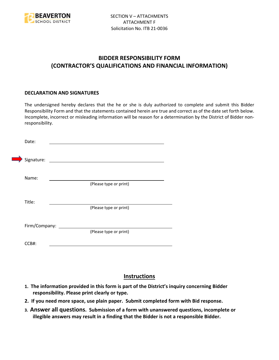

## **BIDDER RESPONSIBILITY FORM (CONTRACTOR'S QUALIFICATIONS AND FINANCIAL INFORMATION)**

#### **DECLARATION AND SIGNATURES**

The undersigned hereby declares that the he or she is duly authorized to complete and submit this Bidder Responsibility Form and that the statements contained herein are true and correct as of the date set forth below. Incomplete, incorrect or misleading information will be reason for a determination by the District of Bidder nonresponsibility.

| Date:      |                      |                                                                                                                      |  |
|------------|----------------------|----------------------------------------------------------------------------------------------------------------------|--|
| Signature: |                      | <u> 1980 - Jan Stein Stein Stein Stein Stein Stein Stein Stein Stein Stein Stein Stein Stein Stein Stein Stein S</u> |  |
| Name:      |                      | (Please type or print)                                                                                               |  |
| Title:     |                      |                                                                                                                      |  |
|            |                      | (Please type or print)                                                                                               |  |
|            | Firm/Company: ______ | (Please type or print)                                                                                               |  |
| CCB#:      |                      |                                                                                                                      |  |

## **Instructions**

- **1. The information provided in this form is part of the District's inquiry concerning Bidder responsibility. Please print clearly or type.**
- **2. If you need more space, use plain paper. Submit completed form with Bid response.**
- **3. Answer all questions. Submission of a form with unanswered questions, incomplete or illegible answers may result in a finding that the Bidder is not a responsible Bidder.**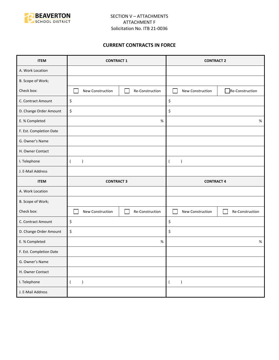

#### **CURRENT CONTRACTS IN FORCE**

| <b>ITEM</b>             | <b>CONTRACT 1</b>                   | <b>CONTRACT 2</b>                   |  |
|-------------------------|-------------------------------------|-------------------------------------|--|
| A. Work Location        |                                     |                                     |  |
| B. Scope of Work;       |                                     |                                     |  |
| Check box:              | New Construction<br>Re-Construction | Re-Construction<br>New Construction |  |
| C. Contract Amount      | \$                                  | \$                                  |  |
| D. Change Order Amount  | \$                                  | \$                                  |  |
| E. % Completed          | $\%$                                | $\%$                                |  |
| F. Est. Completion Date |                                     |                                     |  |
| G. Owner's Name         |                                     |                                     |  |
| H. Owner Contact        |                                     |                                     |  |
| I. Telephone            | $\lambda$<br>$\left($               | $\lambda$<br>$\left($               |  |
| J. E-Mail Address       |                                     |                                     |  |
|                         |                                     | <b>CONTRACT 4</b>                   |  |
| <b>ITEM</b>             | <b>CONTRACT 3</b>                   |                                     |  |
| A. Work Location        |                                     |                                     |  |
| B. Scope of Work;       |                                     |                                     |  |
| Check box:              | New Construction<br>Re-Construction | New Construction<br>Re-Construction |  |
| C. Contract Amount      | \$                                  | \$                                  |  |
| D. Change Order Amount  | \$                                  | \$                                  |  |
| E. % Completed          | $\%$                                | $\%$                                |  |
| F. Est. Completion Date |                                     |                                     |  |
| G. Owner's Name         |                                     |                                     |  |
| H. Owner Contact        |                                     |                                     |  |
| I. Telephone            | $\overline{(\ }$<br>$\lambda$       | $\overline{(\ }$<br>$\lambda$       |  |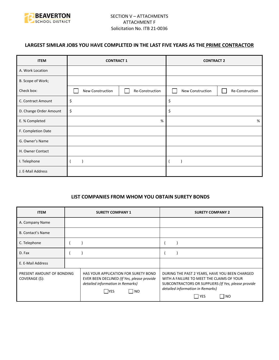

## **LARGEST SIMILAR JOBS YOU HAVE COMPLETED IN THE LAST FIVE YEARS AS THE PRIME CONTRACTOR**

| <b>ITEM</b>            | <b>CONTRACT 1</b> |                 | <b>CONTRACT 2</b> |                 |
|------------------------|-------------------|-----------------|-------------------|-----------------|
| A. Work Location       |                   |                 |                   |                 |
| B. Scope of Work;      |                   |                 |                   |                 |
| Check box:             | New Construction  | Re-Construction | New Construction  | Re-Construction |
| C. Contract Amount     | \$                |                 | \$                |                 |
| D. Change Order Amount | \$                |                 | \$                |                 |
| E. % Completed         |                   | %               |                   | %               |
| F. Completion Date     |                   |                 |                   |                 |
| G. Owner's Name        |                   |                 |                   |                 |
| H. Owner Contact       |                   |                 |                   |                 |
| I. Telephone           |                   |                 |                   |                 |
| J. E-Mail Address      |                   |                 |                   |                 |

#### **LIST COMPANIES FROM WHOM YOU OBTAIN SURETY BONDS**

| <b>ITEM</b>                                 | <b>SURETY COMPANY 1</b>                                                                                                                      | <b>SURETY COMPANY 2</b>                                                                                                                                                                                 |
|---------------------------------------------|----------------------------------------------------------------------------------------------------------------------------------------------|---------------------------------------------------------------------------------------------------------------------------------------------------------------------------------------------------------|
| A. Company Name                             |                                                                                                                                              |                                                                                                                                                                                                         |
| <b>B. Contact's Name</b>                    |                                                                                                                                              |                                                                                                                                                                                                         |
| C. Telephone                                |                                                                                                                                              |                                                                                                                                                                                                         |
| D. Fax                                      |                                                                                                                                              |                                                                                                                                                                                                         |
| E. E-Mail Address                           |                                                                                                                                              |                                                                                                                                                                                                         |
| PRESENT AMOUNT OF BONDING<br>COVERAGE (\$): | HAS YOUR APPLICATION FOR SURETY BOND<br>EVER BEEN DECLINED (If Yes, please provide<br>detailed information in Remarks)<br> NO<br><b>IYES</b> | DURING THE PAST 2 YEARS, HAVE YOU BEEN CHARGED<br>WITH A FAILURE TO MEET THE CLAIMS OF YOUR<br>SUBCONTRACTORS OR SUPPLIERS (If Yes, please provide<br>detailed information in Remarks)<br>  YES<br>I NO |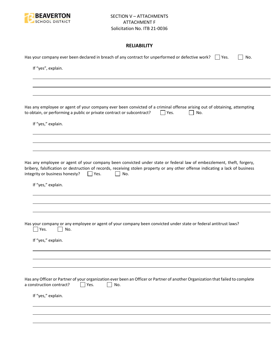

#### **RELIABILITY**

| Has your company ever been declared in breach of any contract for unperformed or defective work? $\Box$ Yes.<br>No.                                                                                                                                                                                               |
|-------------------------------------------------------------------------------------------------------------------------------------------------------------------------------------------------------------------------------------------------------------------------------------------------------------------|
| If "yes", explain.                                                                                                                                                                                                                                                                                                |
|                                                                                                                                                                                                                                                                                                                   |
|                                                                                                                                                                                                                                                                                                                   |
| Has any employee or agent of your company ever been convicted of a criminal offense arising out of obtaining, attempting<br>to obtain, or performing a public or private contract or subcontract?<br>$\Box$ Yes.<br>No.                                                                                           |
| If "yes," explain.                                                                                                                                                                                                                                                                                                |
|                                                                                                                                                                                                                                                                                                                   |
| Has any employee or agent of your company been convicted under state or federal law of embezzlement, theft, forgery,<br>bribery, falsification or destruction of records, receiving stolen property or any other offense indicating a lack of business<br>integrity or business honesty?<br>No.<br>$\vert$   Yes. |
| If "yes," explain.                                                                                                                                                                                                                                                                                                |
|                                                                                                                                                                                                                                                                                                                   |
| Has your company or any employee or agent of your company been convicted under state or federal antitrust laws?<br>Yes.<br>No.                                                                                                                                                                                    |
| If "yes," explain.                                                                                                                                                                                                                                                                                                |
|                                                                                                                                                                                                                                                                                                                   |
|                                                                                                                                                                                                                                                                                                                   |
| Has any Officer or Partner of your organization ever been an Officer or Partner of another Organization that failed to complete<br>a construction contract?<br>Yes.<br>No.                                                                                                                                        |
| If "yes," explain.                                                                                                                                                                                                                                                                                                |
|                                                                                                                                                                                                                                                                                                                   |
|                                                                                                                                                                                                                                                                                                                   |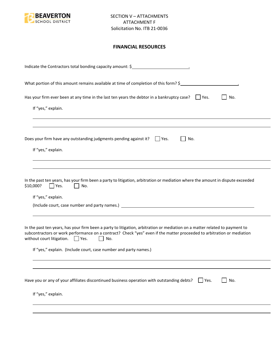

#### **FINANCIAL RESOURCES**

| What portion of this amount remains available at time of completion of this form? \$<br>Has your firm ever been at any time in the last ten years the debtor in a bankruptcy case? $\Box$ Yes.<br>No.<br>If "yes," explain.<br>Does your firm have any outstanding judgments pending against it? $\Box$ Yes.<br>No.<br>If "yes," explain.<br>In the past ten years, has your firm been a party to litigation, arbitration or mediation where the amount in dispute exceeded<br>\$10,000?<br>Yes.<br>No.<br>If "yes," explain. |
|-------------------------------------------------------------------------------------------------------------------------------------------------------------------------------------------------------------------------------------------------------------------------------------------------------------------------------------------------------------------------------------------------------------------------------------------------------------------------------------------------------------------------------|
|                                                                                                                                                                                                                                                                                                                                                                                                                                                                                                                               |
|                                                                                                                                                                                                                                                                                                                                                                                                                                                                                                                               |
|                                                                                                                                                                                                                                                                                                                                                                                                                                                                                                                               |
|                                                                                                                                                                                                                                                                                                                                                                                                                                                                                                                               |
|                                                                                                                                                                                                                                                                                                                                                                                                                                                                                                                               |
|                                                                                                                                                                                                                                                                                                                                                                                                                                                                                                                               |
| In the past ten years, has your firm been a party to litigation, arbitration or mediation on a matter related to payment to<br>subcontractors or work performance on a contract? Check "yes" even if the matter proceeded to arbitration or mediation<br>without court litigation. $\Box$ Yes.<br>No.<br>$\mathbf{1}$                                                                                                                                                                                                         |
| If "yes," explain. (Include court, case number and party names.)                                                                                                                                                                                                                                                                                                                                                                                                                                                              |
|                                                                                                                                                                                                                                                                                                                                                                                                                                                                                                                               |
| Have you or any of your affiliates discontinued business operation with outstanding debts?<br>No.<br>Yes.                                                                                                                                                                                                                                                                                                                                                                                                                     |
| If "yes," explain.                                                                                                                                                                                                                                                                                                                                                                                                                                                                                                            |
|                                                                                                                                                                                                                                                                                                                                                                                                                                                                                                                               |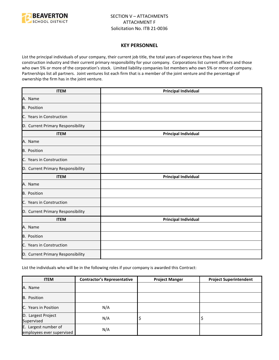

#### **KEY PERSONNEL**

List the principal individuals of your company, their current job title, the total years of experience they have in the construction industry and their current primary responsibility for your company. Corporations list current officers and those who own 5% or more of the corporation's stock. Limited liability companies list members who own 5% or more of company. Partnerships list all partners. Joint ventures list each firm that is a member of the joint venture and the percentage of ownership the firm has in the joint venture.

| <b>ITEM</b>                       | <b>Principal Individual</b> |
|-----------------------------------|-----------------------------|
| A. Name                           |                             |
| <b>B.</b> Position                |                             |
| C. Years in Construction          |                             |
| D. Current Primary Responsibility |                             |
| <b>ITEM</b>                       | <b>Principal Individual</b> |
| A. Name                           |                             |
| <b>B.</b> Position                |                             |
| C. Years in Construction          |                             |
| D. Current Primary Responsibility |                             |
| <b>ITEM</b>                       | <b>Principal Individual</b> |
| A. Name                           |                             |
| B. Position                       |                             |
| C. Years in Construction          |                             |
| D. Current Primary Responsibility |                             |
| <b>ITEM</b>                       | <b>Principal Individual</b> |
| A. Name                           |                             |
| B. Position                       |                             |
| C. Years in Construction          |                             |
| D. Current Primary Responsibility |                             |

List the individuals who will be in the following roles if your company is awarded this Contract:

| <b>ITEM</b>                                       | <b>Contractor's Representative</b> | <b>Project Manger</b> | <b>Project Superintendent</b> |
|---------------------------------------------------|------------------------------------|-----------------------|-------------------------------|
| A. Name                                           |                                    |                       |                               |
| B. Position                                       |                                    |                       |                               |
| <b>IC.</b> Years in Position                      | N/A                                |                       |                               |
| D. Largest Project<br>Supervised                  | N/A                                | ₽                     |                               |
| E. Largest number of<br>employees ever supervised | N/A                                |                       |                               |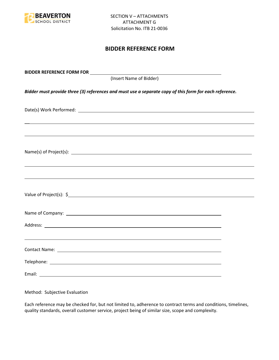

## **BIDDER REFERENCE FORM**

| BIDDER REFERENCE FORM FOR _________                                                                                                                                                                                                  |  |
|--------------------------------------------------------------------------------------------------------------------------------------------------------------------------------------------------------------------------------------|--|
| (Insert Name of Bidder)                                                                                                                                                                                                              |  |
| Bidder must provide three (3) references and must use a separate copy of this form for each reference.                                                                                                                               |  |
|                                                                                                                                                                                                                                      |  |
|                                                                                                                                                                                                                                      |  |
| Name(s) of Project(s): $\sqrt{a}$                                                                                                                                                                                                    |  |
|                                                                                                                                                                                                                                      |  |
|                                                                                                                                                                                                                                      |  |
| Name of Company: <u>contract the community of the contract of the contract of the contract of the contract of the contract of the contract of the contract of the contract of the contract of the contract of the contract of th</u> |  |
|                                                                                                                                                                                                                                      |  |
| ,我们也不会有一个人的人,我们也不会有一个人的人,我们也不会有一个人的人。""我们,我们也不会有一个人的人,我们也不会有一个人的人,我们也不会有一个人的人。""我                                                                                                                                                    |  |
|                                                                                                                                                                                                                                      |  |
|                                                                                                                                                                                                                                      |  |

Method: Subjective Evaluation

Each reference may be checked for, but not limited to, adherence to contract terms and conditions, timelines, quality standards, overall customer service, project being of similar size, scope and complexity.